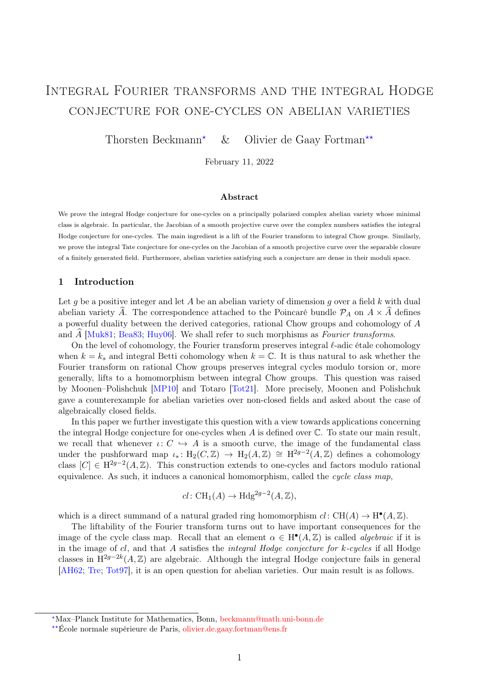# <span id="page-0-0"></span>Integral Fourier transforms and the integral Hodge conjecture for one-cycles on abelian varieties

Thorsten Beckmann<sup>★</sup> & Olivier de Gaay Fortman<sup>★★</sup>

February 11, 2022

## Abstract

We prove the integral Hodge conjecture for one-cycles on a principally polarized complex abelian variety whose minimal class is algebraic. In particular, the Jacobian of a smooth projective curve over the complex numbers satisfies the integral Hodge conjecture for one-cycles. The main ingredient is a lift of the Fourier transform to integral Chow groups. Similarly, we prove the integral Tate conjecture for one-cycles on the Jacobian of a smooth projective curve over the separable closure of a finitely generated field. Furthermore, abelian varieties satisfying such a conjecture are dense in their moduli space.

## 1 Introduction

Let g be a positive integer and let A be an abelian variety of dimension g over a field k with dual abelian variety  $\widehat{A}$ . The correspondence attached to the Poincaré bundle  $\mathcal{P}_A$  on  $A \times \widehat{A}$  defines a powerful duality between the derived categories, rational Chow groups and cohomology of A and  $A$  [\[Muk81;](#page-20-0) [Bea83;](#page-19-0) [Huy06\]](#page-20-1). We shall refer to such morphisms as *Fourier transforms*.

On the level of cohomology, the Fourier transform preserves integral  $\ell$ -adic étale cohomology when  $k = k_s$  and integral Betti cohomology when  $k = \mathbb{C}$ . It is thus natural to ask whether the Fourier transform on rational Chow groups preserves integral cycles modulo torsion or, more generally, lifts to a homomorphism between integral Chow groups. This question was raised by Moonen–Polishchuk [\[MP10\]](#page-20-2) and Totaro [\[Tot21\]](#page-20-3). More precisely, Moonen and Polishchuk gave a counterexample for abelian varieties over non-closed fields and asked about the case of algebraically closed fields.

In this paper we further investigate this question with a view towards applications concerning the integral Hodge conjecture for one-cycles when  $A$  is defined over  $\mathbb C$ . To state our main result, we recall that whenever  $\iota: C \hookrightarrow A$  is a smooth curve, the image of the fundamental class under the pushforward map  $\iota_* \colon H_2(C, \mathbb{Z}) \to H_2(A, \mathbb{Z}) \cong H^{2g-2}(A, \mathbb{Z})$  defines a cohomology class  $[C] \in H^{2g-2}(A, \mathbb{Z})$ . This construction extends to one-cycles and factors modulo rational equivalence. As such, it induces a canonical homomorphism, called the cycle class map,

$$
cl: \operatorname{CH}_1(A) \to \operatorname{Hdg}^{2g-2}(A, \mathbb{Z}),
$$

which is a direct summand of a natural graded ring homomorphism  $cl: CH(A) \rightarrow H^{\bullet}(A, \mathbb{Z})$ .

The liftability of the Fourier transform turns out to have important consequences for the image of the cycle class map. Recall that an element  $\alpha \in H^{\bullet}(A, \mathbb{Z})$  is called *algebraic* if it is in the image of  $cl$ , and that A satisfies the *integral Hodge conjecture for k-cycles* if all Hodge classes in  $H^{2g-2k}(A, \mathbb{Z})$  are algebraic. Although the integral Hodge conjecture fails in general [\[AH62;](#page-19-1) [Tre;](#page-20-4) [Tot97\]](#page-20-5), it is an open question for abelian varieties. Our main result is as follows.

<sup>⋆</sup>Max–Planck Institute for Mathematics, Bonn, <beckmann@math.uni-bonn.de>

<sup>⋆⋆</sup>École normale supérieure de Paris, [olivier.de.gaay.fortman@ens.fr](mailto:olivier.de.gaay.fortman@ens.fr)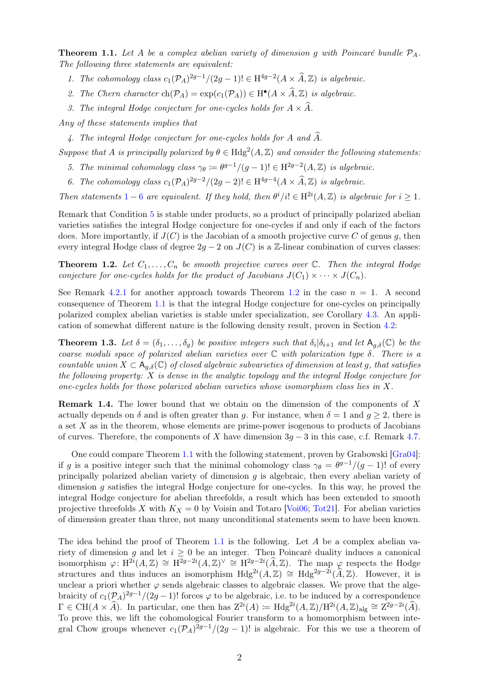<span id="page-1-4"></span><span id="page-1-0"></span>**Theorem 1.1.** Let A be a complex abelian variety of dimension q with Poincaré bundle  $P_A$ . The following three statements are equivalent:

- 1. The cohomology class  $c_1(\mathcal{P}_A)^{2g-1}/(2g-1)! \in \mathrm{H}^{4g-2}(A \times \widehat{A}, \mathbb{Z})$  is algebraic.
- <span id="page-1-6"></span>2. The Chern character  $\text{ch}(\mathcal{P}_A) = \exp(c_1(\mathcal{P}_A)) \in \text{H}^{\bullet}(A \times \widehat{A}, \mathbb{Z})$  is algebraic.
- 3. The integral Hodge conjecture for one-cycles holds for  $A \times \hat{A}$ .

<span id="page-1-8"></span><span id="page-1-7"></span>Any of these statements implies that

4. The integral Hodge conjecture for one-cycles holds for A and  $\widehat{A}$ .

<span id="page-1-2"></span>Suppose that A is principally polarized by  $\theta \in Hdg^2(A, \mathbb{Z})$  and consider the following statements:

- 5. The minimal cohomology class  $\gamma_{\theta} := \theta^{g-1}/(g-1)! \in H^{2g-2}(A,\mathbb{Z})$  is algebraic.
- 6. The cohomology class  $c_1(\mathcal{P}_A)^{2g-2}/(2g-2)! \in \mathrm{H}^{4g-4}(A \times \widehat{A}, \mathbb{Z})$  is algebraic.

<span id="page-1-1"></span>Then statements [1](#page-1-0) – [6](#page-1-1) are equivalent. If they hold, then  $\theta^i/i! \in H^{2i}(A, \mathbb{Z})$  is algebraic for  $i \geq 1$ .

Remark that Condition [5](#page-1-2) is stable under products, so a product of principally polarized abelian varieties satisfies the integral Hodge conjecture for one-cycles if and only if each of the factors does. More importantly, if  $J(C)$  is the Jacobian of a smooth projective curve C of genus g, then every integral Hodge class of degree  $2g - 2$  on  $J(C)$  is a Z-linear combination of curves classes:

<span id="page-1-3"></span>**Theorem 1.2.** Let  $C_1, \ldots, C_n$  be smooth projective curves over  $\mathbb{C}$ . Then the integral Hodge conjecture for one-cycles holds for the product of Jacobians  $J(C_1) \times \cdots \times J(C_n)$ .

See Remark [4.2](#page-0-0)[.1](#page-11-0) for another approach towards Theorem [1.2](#page-1-3) in the case  $n = 1$ . A second consequence of Theorem [1.1](#page-1-4) is that the integral Hodge conjecture for one-cycles on principally polarized complex abelian varieties is stable under specialization, see Corollary [4.3.](#page-11-1) An application of somewhat different nature is the following density result, proven in Section [4.2:](#page-12-0)

<span id="page-1-5"></span>**Theorem 1.3.** Let  $\delta = (\delta_1, \ldots, \delta_g)$  be positive integers such that  $\delta_i | \delta_{i+1}$  and let  $A_{g,\delta}(\mathbb{C})$  be the coarse moduli space of polarized abelian varieties over  $\mathbb C$  with polarization type  $\delta$ . There is a countable union  $X \subset A_{q,\delta}(\mathbb{C})$  of closed algebraic subvarieties of dimension at least g, that satisfies the following property:  $X$  is dense in the analytic topology and the integral Hodge conjecture for one-cycles holds for those polarized abelian varieties whose isomorphism class lies in  $X$ .

Remark 1.4. The lower bound that we obtain on the dimension of the components of X actually depends on  $\delta$  and is often greater than g. For instance, when  $\delta = 1$  and  $q \ge 2$ , there is a set X as in the theorem, whose elements are prime-power isogenous to products of Jacobians of curves. Therefore, the components of X have dimension  $3g - 3$  in this case, c.f. Remark [4.7.](#page-15-0)

One could compare Theorem [1.1](#page-1-4) with the following statement, proven by Grabowski [\[Gra04\]](#page-20-6): if g is a positive integer such that the minimal cohomology class  $\gamma_{\theta} = \theta^{g-1}/(g-1)!$  of every principally polarized abelian variety of dimension  $q$  is algebraic, then every abelian variety of dimension g satisfies the integral Hodge conjecture for one-cycles. In this way, he proved the integral Hodge conjecture for abelian threefolds, a result which has been extended to smooth projective threefolds X with  $K_X = 0$  by Voisin and Totaro [\[Voi06;](#page-20-7) [Tot21\]](#page-20-3). For abelian varieties of dimension greater than three, not many unconditional statements seem to have been known.

The idea behind the proof of Theorem [1.1](#page-1-4) is the following. Let  $A$  be a complex abelian variety of dimension g and let  $i \geq 0$  be an integer. Then Poincaré duality induces a canonical isomorphism  $\varphi: H^{2i}(A, \mathbb{Z}) \cong H^{2g-2i}(A, \mathbb{Z})^{\vee} \cong H^{2g-2i}(\widehat{A}, \mathbb{Z})$ . The map  $\varphi$  respects the Hodge structures and thus induces an isomorphism  $Hdg^{2i}(A, \mathbb{Z}) \cong Hdg^{2g-2i}(\widehat{A}, \mathbb{Z})$ . However, it is unclear a priori whether  $\varphi$  sends algebraic classes to algebraic classes. We prove that the algebraicity of  $c_1(\mathcal{P}_A)^{2g-1}/(2g-1)!$  forces  $\varphi$  to be algebraic, i.e. to be induced by a correspondence  $\Gamma \in \text{CH}(A \times \hat{A})$ . In particular, one then has  $Z^{2i}(A) := \text{Hdg}^{2i}(A, \mathbb{Z}) / \text{H}^{2i}(A, \mathbb{Z})_{\text{alg}} \cong Z^{2g-2i}(\hat{A})$ . To prove this, we lift the cohomological Fourier transform to a homomorphism between integral Chow groups whenever  $c_1(\mathcal{P}_A)^{2g-1}/(2g-1)!$  is algebraic. For this we use a theorem of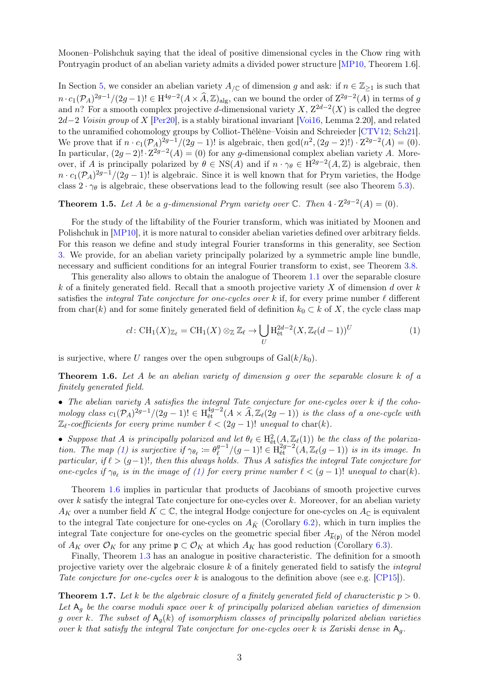Moonen–Polishchuk saying that the ideal of positive dimensional cycles in the Chow ring with Pontryagin product of an abelian variety admits a divided power structure [\[MP10,](#page-20-2) Theorem 1.6].

In Section [5,](#page-16-0) we consider an abelian variety  $A_{/\mathbb{C}}$  of dimension g and ask: if  $n \in \mathbb{Z}_{\geq 1}$  is such that  $n \cdot c_1(\mathcal{P}_A)^{2g-1}/(2g-1)! \in H^{4g-2}(A \times \widehat{A}, \mathbb{Z})_{\text{alg}}$ , can we bound the order of  $\mathbb{Z}^{2g-2}(A)$  in terms of g and n? For a smooth complex projective d-dimensional variety X,  $Z^{2d-2}(X)$  is called the degree  $2d-2$  Voisin group of X [\[Per20\]](#page-20-8), is a stably birational invariant [\[Voi16,](#page-20-9) Lemma 2.20], and related to the unramified cohomology groups by Colliot-Thélène–Voisin and Schreieder [\[CTV12;](#page-19-2) [Sch21\]](#page-20-10). We prove that if  $n \cdot c_1(\mathcal{P}_A)^{2g-1}/(2g-1)!$  is algebraic, then  $gcd(n^2, (2g-2)!) \cdot Z^{2g-2}(A) = (0)$ . In particular,  $(2g-2)! \cdot \mathbb{Z}^{2g-2}(A) = (0)$  for any g-dimensional complex abelian variety A. Moreover, if A is principally polarized by  $\theta \in NS(A)$  and if  $n \cdot \gamma_{\theta} \in H^{2g-2}(A,\mathbb{Z})$  is algebraic, then  $n \cdot c_1(\mathcal{P}_A)^{2g-1}/(2g-1)!$  is algebraic. Since it is well known that for Prym varieties, the Hodge class  $2 \cdot \gamma_{\theta}$  is algebraic, these observations lead to the following result (see also Theorem [5.3\)](#page-16-1).

**Theorem 1.5.** Let A be a g-dimensional Prym variety over  $\mathbb{C}$ . Then  $4 \cdot \mathbb{Z}^{2g-2}(A) = (0)$ .

For the study of the liftability of the Fourier transform, which was initiated by Moonen and Polishchuk in [\[MP10\]](#page-20-2), it is more natural to consider abelian varieties defined over arbitrary fields. For this reason we define and study integral Fourier transforms in this generality, see Section [3.](#page-3-0) We provide, for an abelian variety principally polarized by a symmetric ample line bundle, necessary and sufficient conditions for an integral Fourier transform to exist, see Theorem [3.8.](#page-8-0)

This generality also allows to obtain the analogue of Theorem [1.1](#page-1-4) over the separable closure k of a finitely generated field. Recall that a smooth projective variety X of dimension d over  $k$ satisfies the *integral Tate conjecture for one-cycles over* k if, for every prime number  $\ell$  different from char(k) and for some finitely generated field of definition  $k_0 \subset k$  of X, the cycle class map

<span id="page-2-0"></span>
$$
cl: \operatorname{CH}_1(X)_{\mathbb{Z}_{\ell}} = \operatorname{CH}_1(X) \otimes_{\mathbb{Z}} \mathbb{Z}_{\ell} \to \bigcup_{U} H_{\text{\'et}}^{2d-2}(X, \mathbb{Z}_{\ell}(d-1))^U
$$
 (1)

is surjective, where U ranges over the open subgroups of  $Gal(k/k_0)$ .

<span id="page-2-1"></span>**Theorem 1.6.** Let A be an abelian variety of dimension g over the separable closure  $k$  of a finitely generated field.

• The abelian variety A satisfies the integral Tate conjecture for one-cycles over k if the cohomology class  $c_1(\mathcal{P}_A)^{2g-1}/(2g-1)! \in \mathrm{H}^{4g-2}_{\text{\textup{\'et}}}(A \times \widehat{A}, \mathbb{Z}_{\ell}(2g-1))$  is the class of a one-cycle with  $\mathbb{Z}_{\ell}$ -coefficients for every prime number  $\ell < (2g - 1)!$  unequal to char(k).

• Suppose that A is principally polarized and let  $\theta_{\ell} \in H^2_{\text{\'et}}(A, \mathbb{Z}_{\ell}(1))$  be the class of the polariza-tion. The map [\(1\)](#page-2-0) is surjective if  $\gamma_{\theta_\ell} \coloneqq \theta_\ell^{g-1}$  $\int_{\ell}^{g-1} / (g-1)! \in \mathrm{H}^{2g-2}_{\mathrm{\acute{e}t}}(A, \mathbb{Z}_{\ell}(g-1))$  is in its image. In particular, if  $\ell > (g-1)!$ , then this always holds. Thus A satisfies the integral Tate conjecture for one-cycles if  $\gamma_{\theta_\ell}$  is in the image of [\(1\)](#page-2-0) for every prime number  $\ell < (g-1)!$  unequal to char(k).

Theorem [1.6](#page-2-1) implies in particular that products of Jacobians of smooth projective curves over k satisfy the integral Tate conjecture for one-cycles over k. Moreover, for an abelian variety  $A_K$  over a number field  $K \subset \mathbb{C}$ , the integral Hodge conjecture for one-cycles on  $A_{\mathbb{C}}$  is equivalent to the integral Tate conjecture for one-cycles on  $A_{\bar{K}}$  (Corollary [6.2\)](#page-17-0), which in turn implies the integral Tate conjecture for one-cycles on the geometric special fiber  $A_{\overline{k}(\mathfrak{p})}$  of the Néron model of  $A_K$  over  $\mathcal{O}_K$  for any prime  $\mathfrak{p} \subset \mathcal{O}_K$  at which  $A_K$  has good reduction (Corollary [6.3\)](#page-18-0).

Finally, Theorem [1.3](#page-1-5) has an analogue in positive characteristic. The definition for a smooth projective variety over the algebraic closure k of a finitely generated field to satisfy the integral Tate conjecture for one-cycles over k is analogous to the definition above (see e.g.  $[CP15]$ ).

<span id="page-2-2"></span>**Theorem 1.7.** Let k be the algebraic closure of a finitely generated field of characteristic  $p > 0$ . Let  $A_q$  be the coarse moduli space over k of principally polarized abelian varieties of dimension g over k. The subset of  $A_q(k)$  of isomorphism classes of principally polarized abelian varieties over k that satisfy the integral Tate conjecture for one-cycles over k is Zariski dense in  $A_q$ .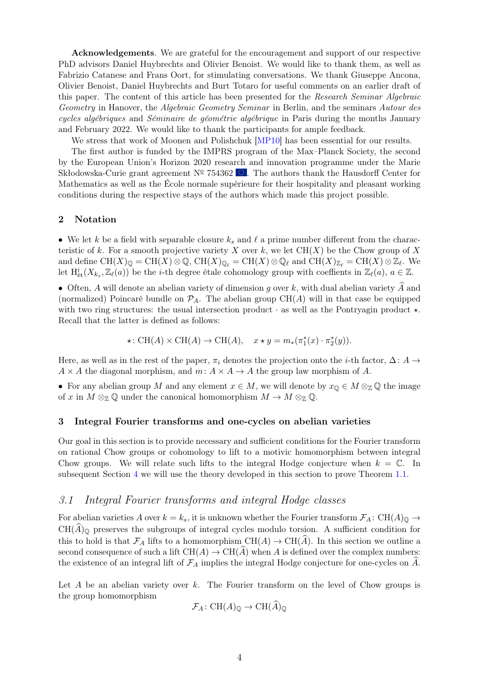Acknowledgements. We are grateful for the encouragement and support of our respective PhD advisors Daniel Huybrechts and Olivier Benoist. We would like to thank them, as well as Fabrizio Catanese and Frans Oort, for stimulating conversations. We thank Giuseppe Ancona, Olivier Benoist, Daniel Huybrechts and Burt Totaro for useful comments on an earlier draft of this paper. The content of this article has been presented for the Research Seminar Algebraic Geometry in Hanover, the *Algebraic Geometry Seminar* in Berlin, and the seminars *Autour des* cycles algébriques and Séminaire de géométrie algébrique in Paris during the months January and February 2022. We would like to thank the participants for ample feedback.

We stress that work of Moonen and Polishchuk [\[MP10\]](#page-20-2) has been essential for our results.

The first author is funded by the IMPRS program of the Max–Planck Society, the second by the European Union's Horizon 2020 research and innovation programme under the Marie Skłodowska-Curie grant agreement  $N^{\circ}$  754362  $\bullet$ . The authors thank the Hausdorff Center for Mathematics as well as the École normale supérieure for their hospitality and pleasant working conditions during the respective stays of the authors which made this project possible.

#### <span id="page-3-1"></span>2 Notation

• We let k be a field with separable closure  $k_s$  and  $\ell$  a prime number different from the characteristic of k. For a smooth projective variety X over k, we let  $CH(X)$  be the Chow group of X and define  $\text{CH}(X)_{\mathbb{Q}} = \text{CH}(X) \otimes \mathbb{Q}$ ,  $\text{CH}(X)_{\mathbb{Q}_{\ell}} = \text{CH}(X) \otimes \mathbb{Q}_{\ell}$  and  $\text{CH}(X)_{\mathbb{Z}_{\ell}} = \text{CH}(X) \otimes \mathbb{Z}_{\ell}$ . We let  $H^i_{\text{\'et}}(X_{k_s}, \mathbb{Z}_\ell(a))$  be the *i*-th degree étale cohomology group with coeffients in  $\mathbb{Z}_\ell(a)$ ,  $a \in \mathbb{Z}$ .

• Often, A will denote an abelian variety of dimension g over k, with dual abelian variety  $\tilde{A}$  and (normalized) Poincaré bundle on  $\mathcal{P}_A$ . The abelian group  $CH(A)$  will in that case be equipped with two ring structures: the usual intersection product  $\cdot$  as well as the Pontryagin product  $\star$ . Recall that the latter is defined as follows:

$$
\star\colon \text{CH}(A)\times \text{CH}(A)\to \text{CH}(A),\quad x\star y = m_*(\pi_1^*(x)\cdot \pi_2^*(y)).
$$

Here, as well as in the rest of the paper,  $\pi_i$  denotes the projection onto the *i*-th factor,  $\Delta: A \rightarrow$  $A \times A$  the diagonal morphism, and  $m: A \times A \rightarrow A$  the group law morphism of A.

• For any abelian group M and any element  $x \in M$ , we will denote by  $x_{\mathbb{Q}} \in M \otimes_{\mathbb{Z}} \mathbb{Q}$  the image of x in  $M \otimes_{\mathbb{Z}} \mathbb{Q}$  under the canonical homomorphism  $M \to M \otimes_{\mathbb{Z}} \mathbb{Q}$ .

#### <span id="page-3-0"></span>3 Integral Fourier transforms and one-cycles on abelian varieties

Our goal in this section is to provide necessary and sufficient conditions for the Fourier transform on rational Chow groups or cohomology to lift to a motivic homomorphism between integral Chow groups. We will relate such lifts to the integral Hodge conjecture when  $k = \mathbb{C}$ . In subsequent Section [4](#page-10-0) we will use the theory developed in this section to prove Theorem [1.1.](#page-1-4)

## 3.1 Integral Fourier transforms and integral Hodge classes

For abelian varieties A over  $k = k_s$ , it is unknown whether the Fourier transform  $\mathcal{F}_A$ : CH(A)<sub>0</sub>  $\rightarrow$  $CH(A)$ <sub>Q</sub> preserves the subgroups of integral cycles modulo torsion. A sufficient condition for this to hold is that  $\mathcal{F}_A$  lifts to a homomorphism  $\text{CH}(A) \to \text{CH}(\widehat{A})$ . In this section we outline a second consequence of such a lift  $CH(A) \to CH(\hat{A})$  when A is defined over the complex numbers: the existence of an integral lift of  $\mathcal{F}_A$  implies the integral Hodge conjecture for one-cycles on  $\hat{A}$ .

Let A be an abelian variety over k. The Fourier transform on the level of Chow groups is the group homomorphism

$$
\mathcal{F}_A\colon \text{CH}(A)_{\mathbb{Q}} \to \text{CH}(\widehat{A})_{\mathbb{Q}}
$$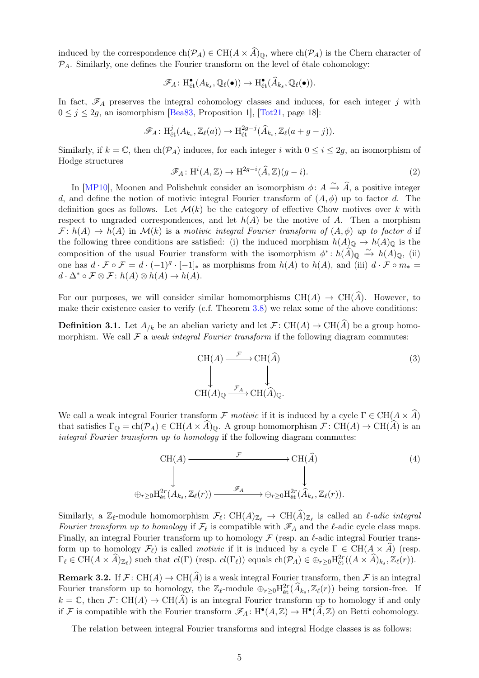induced by the correspondence  $ch(\mathcal{P}_A) \in CH(A \times \widehat{A})_0$ , where  $ch(\mathcal{P}_A)$  is the Chern character of  $P_A$ . Similarly, one defines the Fourier transform on the level of étale cohomology:

$$
\mathscr{F}_A\colon \mathrm{H}^\bullet_{\text{\'et}}(A_{k_s},\mathbb{Q}_{\ell}(\bullet))\to \mathrm{H}^\bullet_{\text{\'et}}(\widehat{A}_{k_s},\mathbb{Q}_{\ell}(\bullet)).
$$

In fact,  $\mathscr{F}_A$  preserves the integral cohomology classes and induces, for each integer j with  $0 \leq j \leq 2g$ , an isomorphism [\[Bea83,](#page-19-0) Proposition 1], [\[Tot21,](#page-20-3) page 18]:

$$
\mathscr{F}_A\colon \mathrm{H}_{\mathrm{\acute{e}t}}^j(A_{k_s},\mathbb{Z}_\ell(a)) \to \mathrm{H}_{\mathrm{\acute{e}t}}^{2g-j}(\widehat{A}_{k_s},\mathbb{Z}_\ell(a+g-j)).
$$

Similarly, if  $k = \mathbb{C}$ , then  $\text{ch}(\mathcal{P}_A)$  induces, for each integer i with  $0 \leq i \leq 2g$ , an isomorphism of Hodge structures

<span id="page-4-1"></span>
$$
\mathcal{F}_A \colon \mathrm{H}^i(A, \mathbb{Z}) \to \mathrm{H}^{2g-i}(\widehat{A}, \mathbb{Z})(g-i). \tag{2}
$$

In [\[MP10\]](#page-20-2), Moonen and Polishchuk consider an isomorphism  $\phi: A \xrightarrow{\sim} \widehat{A}$ , a positive integer d, and define the notion of motivic integral Fourier transform of  $(A, \phi)$  up to factor d. The definition goes as follows. Let  $\mathcal{M}(k)$  be the category of effective Chow motives over k with respect to ungraded correspondences, and let  $h(A)$  be the motive of A. Then a morphism  $\mathcal{F}: h(A) \to h(A)$  in  $\mathcal{M}(k)$  is a motivic integral Fourier transform of  $(A, \phi)$  up to factor d if the following three conditions are satisfied: (i) the induced morphism  $h(A)_{\mathbb{Q}} \to h(A)_{\mathbb{Q}}$  is the composition of the usual Fourier transform with the isomorphism  $\phi^*$ :  $h(\hat{A})_{\mathbb{Q}} \xrightarrow{\sim} h(A)_{\mathbb{Q}}$ , (ii) one has  $d \cdot \mathcal{F} \circ \mathcal{F} = d \cdot (-1)^g \cdot [-1]_*$  as morphisms from  $h(A)$  to  $h(A)$ , and (iii)  $d \cdot \mathcal{F} \circ m_* =$  $d \cdot \Delta^* \circ \mathcal{F} \otimes \mathcal{F} : h(A) \otimes h(A) \to h(A).$ 

For our purposes, we will consider similar homomorphisms  $CH(A) \rightarrow CH(\hat{A})$ . However, to make their existence easier to verify (c.f. Theorem [3.8\)](#page-8-0) we relax some of the above conditions:

**Definition 3.1.** Let  $A_{/k}$  be an abelian variety and let  $\mathcal{F}: CH(A) \to CH(A)$  be a group homomorphism. We call  $\mathcal F$  a weak integral Fourier transform if the following diagram commutes:

$$
\begin{array}{ccc}\n\text{CH}(A) & \xrightarrow{\mathcal{F}} & \text{CH}(\widehat{A}) \\
\downarrow & & \downarrow \\
\text{CH}(A)_{\mathbb{Q}} & \xrightarrow{\mathcal{F}_A} & \text{CH}(\widehat{A})_{\mathbb{Q}}.\n\end{array} \tag{3}
$$

We call a weak integral Fourier transform  $\mathcal F$  motivic if it is induced by a cycle  $\Gamma \in \mathrm{CH}(A \times \widehat{A})$ that satisfies  $\Gamma_{\mathbb{Q}} = ch(\mathcal{P}_A) \in CH(A \times \widehat{A})_{\mathbb{Q}}$ . A group homomorphism  $\mathcal{F} : CH(A) \to CH(\widehat{A})$  is an integral Fourier transform up to homology if the following diagram commutes:

<span id="page-4-0"></span>
$$
\text{CH}(A) \xrightarrow{\mathcal{F}} \text{CH}(\widehat{A}) \qquad (4)
$$
\n
$$
\downarrow \qquad \qquad \downarrow
$$
\n
$$
\oplus_{r\geq 0} H_{\text{\'et}}^{2r}(A_{k_s}, \mathbb{Z}_{\ell}(r)) \xrightarrow{\mathscr{F}_A} \oplus_{r\geq 0} H_{\text{\'et}}^{2r}(\widehat{A}_{k_s}, \mathbb{Z}_{\ell}(r)).
$$

Similarly, a  $\mathbb{Z}_{\ell}$ -module homomorphism  $\mathcal{F}_{\ell} \colon CH(A)_{\mathbb{Z}_{\ell}} \to CH(\widehat{A})_{\mathbb{Z}_{\ell}}$  is called an  $\ell$ -adic integral Fourier transform up to homology if  $\mathcal{F}_{\ell}$  is compatible with  $\mathscr{F}_A$  and the  $\ell$ -adic cycle class maps. Finally, an integral Fourier transform up to homology  $\mathcal F$  (resp. an  $\ell$ -adic integral Fourier transform up to homology  $\mathcal{F}_{\ell}$ ) is called *motivic* if it is induced by a cycle  $\Gamma \in \mathrm{CH}(A \times \widehat{A})$  (resp.  $\Gamma_{\ell} \in \mathrm{CH}(A \times \widehat{A})_{\mathbb{Z}_{\ell}}$  such that  $cl(\Gamma)$  (resp.  $cl(\Gamma_{\ell})$ ) equals  $ch(\mathcal{P}_A) \in \bigoplus_{r \geq 0} H^{2r}_{\text{\'{e}t}}((A \times \widehat{A})_{k_s}, \mathbb{Z}_{\ell}(r)).$ 

**Remark 3.2.** If  $\mathcal{F}: \text{CH}(A) \to \text{CH}(\widehat{A})$  is a weak integral Fourier transform, then  $\mathcal{F}$  is an integral Fourier transform up to homology, the  $\mathbb{Z}_{\ell}$ -module  $\oplus_{r\geq 0} H^{2r}_{\text{\'{e}t}}(\widehat{A}_{k_s}, \mathbb{Z}_{\ell}(r))$  being torsion-free. If  $k = \mathbb{C}$ , then  $\mathcal{F} : \text{CH}(A) \to \text{CH}(\widehat{A})$  is an integral Fourier transform up to homology if and only if F is compatible with the Fourier transform  $\mathscr{F}_A: H^{\bullet}(A, \mathbb{Z}) \to H^{\bullet}(\widehat{A}, \mathbb{Z})$  on Betti cohomology.

The relation between integral Fourier transforms and integral Hodge classes is as follows: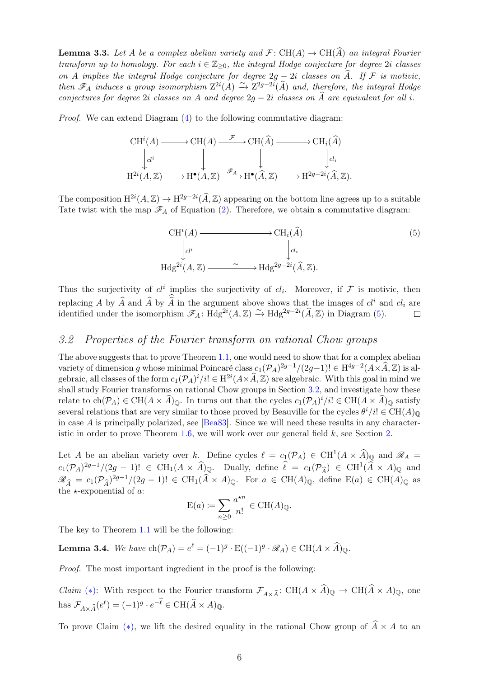<span id="page-5-4"></span>**Lemma 3.3.** Let A be a complex abelian variety and  $\mathcal{F}$ : CH(A)  $\rightarrow$  CH(A) an integral Fourier transform up to homology. For each  $i \in \mathbb{Z}_{\geq 0}$ , the integral Hodge conjecture for degree 2i classes on A implies the integral Hodge conjecture for degree  $2q - 2i$  classes on  $\widehat{A}$ . If F is motivic, then  $\mathscr{F}_A$  induces a group isomorphism  $Z^{2i}(A) \to Z^{2g-2i}(\widehat{A})$  and, therefore, the integral Hodge conjectures for degree 2i classes on A and degree  $2g - 2i$  classes on  $\widehat{A}$  are equivalent for all i.

Proof. We can extend Diagram [\(4\)](#page-4-0) to the following commutative diagram:

$$
\begin{array}{ccc}\n\text{CH}^{i}(A) \longrightarrow \text{CH}(A) & \xrightarrow{\mathcal{F}} \text{CH}(\widehat{A}) & \longrightarrow \text{CH}_{i}(\widehat{A}) \\
\downarrow_{cl^{i}} & \downarrow & \downarrow & \downarrow_{cl_{i}} \\
\text{H}^{2i}(A, \mathbb{Z}) & \longrightarrow \text{H}^{\bullet}(A, \mathbb{Z}) & \xrightarrow{\mathscr{F}_{A}} \text{H}^{\bullet}(\widehat{A}, \mathbb{Z}) & \longrightarrow \text{H}^{2g-2i}(\widehat{A}, \mathbb{Z}).\n\end{array}
$$

The composition  $H^{2i}(A, \mathbb{Z}) \to H^{2g-2i}(\widehat{A}, \mathbb{Z})$  appearing on the bottom line agrees up to a suitable Tate twist with the map  $\mathscr{F}_A$  of Equation [\(2\)](#page-4-1). Therefore, we obtain a commutative diagram:

<span id="page-5-0"></span>
$$
\text{CH}^{i}(A) \longrightarrow \text{CH}_{i}(\widehat{A})
$$
\n
$$
\downarrow_{cl^{i}} \qquad \qquad \downarrow_{cl_{i}}
$$
\n
$$
\text{Hdg}^{2i}(A, \mathbb{Z}) \longrightarrow \text{Hdg}^{2g-2i}(\widehat{A}, \mathbb{Z}).
$$
\n
$$
(5)
$$

Thus the surjectivity of  $cl^i$  implies the surjectivity of  $cl_i$ . Moreover, if F is motivic, then replacing A by  $\hat{A}$  and  $\hat{A}$  by  $\hat{A}$  in the argument above shows that the images of  $cl^i$  and  $cl_i$  are identified under the isomorphism  $\mathscr{F}_A$ : Hdg<sup>2*i*</sup>(A, Z)  $\rightarrow$  Hdg<sup>2*g*-2*i*</sup>( $\widehat{A}$ , Z) in Diagram [\(5\)](#page-5-0).

# <span id="page-5-1"></span>3.2 Properties of the Fourier transform on rational Chow groups

The above suggests that to prove Theorem [1.1,](#page-1-4) one would need to show that for a complex abelian variety of dimension g whose minimal Poincaré class  $c_1(\mathcal{P}_A)^{2g-1}/(2g-1)! \in \mathrm{H}^{4g-2}(A \times \widehat{A}, \mathbb{Z})$  is algebraic, all classes of the form  $c_1(\mathcal{P}_A)^i/i! \in H^{2i}(A \times \widehat{A}, \mathbb{Z})$  are algebraic. With this goal in mind we shall study Fourier transforms on rational Chow groups in Section [3.2,](#page-5-1) and investigate how these relate to  $ch(\mathcal{P}_A) \in CH(A \times \widehat{A})_{\mathbb{Q}}$ . In turns out that the cycles  $c_1(\mathcal{P}_A)^i/i! \in CH(A \times \widehat{A})_{\mathbb{Q}}$  satisfy several relations that are very similar to those proved by Beauville for the cycles  $\theta^i/i! \in \text{CH}(A)_{\mathbb{Q}}$ in case A is principally polarized, see [\[Bea83\]](#page-19-0). Since we will need these results in any character-istic in order to prove Theorem [1.6,](#page-2-1) we will work over our general field  $k$ , see Section [2.](#page-3-1)

Let A be an abelian variety over k. Define cycles  $\ell = c_1(\mathcal{P}_A) \in \text{CH}^1(A \times \widehat{A})_{\mathbb{Q}}$  and  $\mathscr{R}_A =$  $c_1(\mathcal{P}_A)^{2g-1}/(2g-1)! \in \text{CH}_1(A \times \widehat{A})_{\mathbb{Q}}$ . Dually, define  $\widehat{\ell} = c_1(\mathcal{P}_{\widehat{A}}) \in \text{CH}^1(\widehat{A} \times A)_{\mathbb{Q}}$  and  $\mathscr{R}_{\widehat{A}} = c_1(\mathcal{P}_{\widehat{A}})^{2g-1}/(2g-1)! \in \mathrm{CH}_1(\widehat{A} \times A)_{\mathbb{Q}}$ . For  $a \in \mathrm{CH}(A)_{\mathbb{Q}}$ , define  $\mathrm{E}(a) \in \mathrm{CH}(A)_{\mathbb{Q}}$  as the  $\star$ -exponential of a:  $\star n$ 

$$
E(a) := \sum_{n\geq 0} \frac{a^{*n}}{n!} \in CH(A)_{\mathbb{Q}}.
$$

The key to Theorem [1.1](#page-1-4) will be the following:

<span id="page-5-3"></span>**Lemma 3.4.** We have  $\text{ch}(\mathcal{P}_A) = e^{\ell} = (-1)^g \cdot \text{E}((-1)^g \cdot \mathcal{R}_A) \in \text{CH}(A \times \widehat{A})_{\mathbb{Q}}$ .

Proof. The most important ingredient in the proof is the following:

<span id="page-5-2"></span>*Claim* (\*): With respect to the Fourier transform  $\mathcal{F}_{A\times \widehat{A}}$ : CH( $A\times \widehat{A}$ )<sub>Q</sub>  $\rightarrow$  CH( $\widehat{A}\times A$ )<sub>Q</sub>, one has  $\mathcal{F}_{A\times\widehat{A}}(e^{\ell}) = (-1)^g \cdot e^{-\ell} \in \mathrm{CH}(\widehat{A}\times A)_{\mathbb{Q}}.$ 

To prove Claim (\*), we lift the desired equality in the rational Chow group of  $\widehat{A} \times A$  to an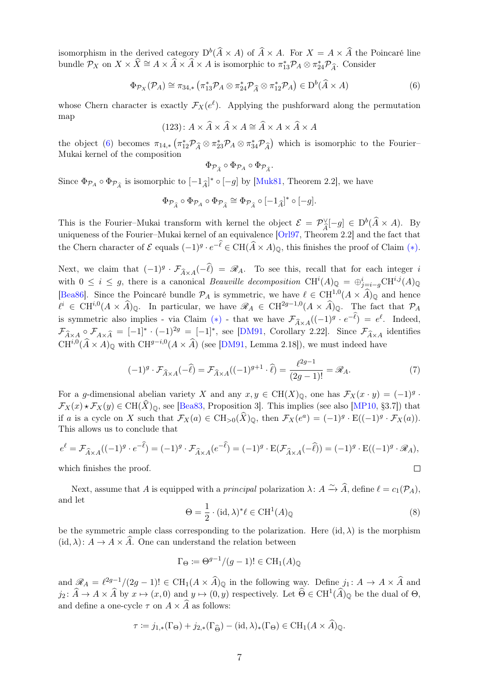isomorphism in the derived category  $D^b(\widehat{A} \times A)$  of  $\widehat{A} \times A$ . For  $X = A \times \widehat{A}$  the Poincaré line bundle  $\mathcal{P}_X$  on  $X \times \widehat{X} \cong A \times \widehat{A} \times \widehat{A} \times A$  is isomorphic to  $\pi_{13}^* \mathcal{P}_A \otimes \pi_{24}^* \mathcal{P}_{\widehat{A}}$ . Consider

<span id="page-6-0"></span>
$$
\Phi_{\mathcal{P}_X}(\mathcal{P}_A) \cong \pi_{34,*} \left( \pi_{13}^* \mathcal{P}_A \otimes \pi_{24}^* \mathcal{P}_{\widehat{A}} \otimes \pi_{12}^* \mathcal{P}_A \right) \in D^b(\widehat{A} \times A)
$$
(6)

whose Chern character is exactly  $\mathcal{F}_X(e^{\ell})$ . Applying the pushforward along the permutation map

$$
(123): A \times \widehat{A} \times \widehat{A} \times A \cong \widehat{A} \times A \times \widehat{A} \times A
$$

the object [\(6\)](#page-6-0) becomes  $\pi_{14,*}$  ( $\pi_{12}^* \mathcal{P}_{\widehat{A}} \otimes \pi_{23}^* \mathcal{P}_A \otimes \pi_{34}^* \mathcal{P}_{\widehat{A}}$ ) which is isomorphic to the Fourier–<br>Multaj kamel of the composition Mukai kernel of the composition

$$
\Phi_{\mathcal{P}_{\widehat{A}}}\circ\Phi_{\mathcal{P}_A}\circ\Phi_{\mathcal{P}_{\widehat{A}}}.
$$

Since  $\Phi_{\mathcal{P}_A} \circ \Phi_{\mathcal{P}_{\hat{A}}}$  is isomorphic to  $[-1_{\hat{A}}]^* \circ [-g]$  by [\[Muk81,](#page-20-0) Theorem 2.2], we have

$$
\Phi_{\mathcal{P}_{\widehat{A}}}\circ\Phi_{\mathcal{P}_A}\circ\Phi_{\mathcal{P}_{\widehat{A}}}\cong\Phi_{\mathcal{P}_{\widehat{A}}}\circ[-1_{\widehat{A}}]^{*}\circ[-g].
$$

This is the Fourier–Mukai transform with kernel the object  $\mathcal{E} = \mathcal{P}_{\hat{A}}^{\vee}[-g] \in D^{b}(\hat{A} \times A)$ . By uniqueness of the Fourier–Mukai kernel of an equivalence  $[Or197, Theorem 2.2]$  and the fact that the Chern character of  $\mathcal E$  equals  $(-1)^g \cdot e^{-\ell} \in \mathrm{CH}(\widehat{A} \times A)_{\mathbb Q}$ , this finishes the proof of Claim  $(*)$ .

Next, we claim that  $(-1)^g \cdot \mathcal{F}_{\widehat{A} \times A}(-\widehat{\ell}) = \mathscr{R}_A$ . To see this, recall that for each integer is with  $0 \leq i \leq g$ , there is a canonical *Beauville decomposition* CH<sup>i</sup> $(A)_{\mathbb{Q}} = \bigoplus_{j=i-g}^{i} \text{CH}^{i,j}(A)_{\mathbb{Q}}$ [\[Bea86\]](#page-19-4). Since the Poincaré bundle  $\mathcal{P}_A$  is symmetric, we have  $\ell \in \text{CH}^{1,0}(A \times \widehat{A})_{\mathbb{Q}}$  and hence  $\ell^i \in \mathrm{CH}^{i,0}(A \times \widehat{A})_{\mathbb{Q}}$ . In particular, we have  $\mathscr{R}_A \in \mathrm{CH}^{2g-1,0}(A \times \widehat{A})_{\mathbb{Q}}$ . The fact that  $\mathcal{P}_A$ is symmetric also implies - via Claim (\*) - that we have  $\mathcal{F}_{\widehat{A}\times A}((-1)^g \cdot e^{-\ell}) = e^{\ell}$ . Indeed,  $\mathcal{F}_{\hat{A}\times A} \circ \mathcal{F}_{A\times \hat{A}} = [-1]^* \cdot (-1)^{2g} = [-1]^*$ , see [\[DM91,](#page-19-5) Corollary 2.22]. Since  $\mathcal{F}_{\hat{A}\times A}$  identifies  $CH^{i,0}(\hat{A} \times A)_{\mathbb{Q}}$  with  $CH^{g-i,0}(A \times \hat{A})$  (see [\[DM91,](#page-19-5) Lemma 2.18]), we must indeed have

<span id="page-6-2"></span>
$$
(-1)^g \cdot \mathcal{F}_{\widehat{A} \times A}(-\widehat{\ell}) = \mathcal{F}_{\widehat{A} \times A}((-1)^{g+1} \cdot \widehat{\ell}) = \frac{\ell^{2g-1}}{(2g-1)!} = \mathcal{R}_A.
$$
 (7)

For a g-dimensional abelian variety X and any  $x, y \in \text{CH}(X)_{\mathbb{Q}}$ , one has  $\mathcal{F}_X(x \cdot y) = (-1)^g \cdot$  $\mathcal{F}_X(x) \star \mathcal{F}_X(y) \in \mathrm{CH}(\widehat{X})_0$ , see [\[Bea83,](#page-19-0) Proposition 3]. This implies (see also [\[MP10,](#page-20-2) §3.7]) that if a is a cycle on X such that  $\mathcal{F}_X(a) \in \text{CH}_{>0}(\widehat{X})_{\mathbb{Q}}$ , then  $\mathcal{F}_X(e^a) = (-1)^g \cdot \text{E}((-1)^g \cdot \mathcal{F}_X(a))$ . This allows us to conclude that

$$
e^{\ell} = \mathcal{F}_{\widehat{A} \times A}((-1)^g \cdot e^{-\widehat{\ell}}) = (-1)^g \cdot \mathcal{F}_{\widehat{A} \times A}(e^{-\widehat{\ell}}) = (-1)^g \cdot E(\mathcal{F}_{\widehat{A} \times A}(-\widehat{\ell})) = (-1)^g \cdot E((-1)^g \cdot \mathcal{R}_A),
$$
  
which finishes the proof.

which finishes the proof.

Next, assume that A is equipped with a *principal* polarization  $\lambda: A \xrightarrow{\sim} \widehat{A}$ , define  $\ell = c_1(\mathcal{P}_A)$ , and let

<span id="page-6-1"></span>
$$
\Theta = \frac{1}{2} \cdot (\mathrm{id}, \lambda)^* \ell \in \mathrm{CH}^1(A)_{\mathbb{Q}} \tag{8}
$$

be the symmetric ample class corresponding to the polarization. Here  $(id, \lambda)$  is the morphism  $(id, \lambda): A \to A \times \widehat{A}$ . One can understand the relation between

$$
\Gamma_{\Theta} \coloneqq \Theta^{g-1}/(g-1)! \in \operatorname{CH}_1(A)_{\mathbb{Q}}
$$

and  $\mathscr{R}_A = \ell^{2g-1}/(2g-1)! \in \mathrm{CH}_1(A \times \widehat{A})_{\mathbb{Q}}$  in the following way. Define  $j_1: A \to A \times \widehat{A}$  and  $j_2\colon \widehat{A}\to A\times \widehat{A}$  by  $x\mapsto (x,0)$  and  $y\mapsto (0,y)$  respectively. Let  $\widehat{\Theta}\in \mathrm{CH}^1(\widehat{A})_\mathbb{Q}$  be the dual of  $\Theta$ , and define a one-cycle  $\tau$  on  $A \times \widehat{A}$  as follows:

$$
\tau := j_{1,*}(\Gamma_{\Theta}) + j_{2,*}(\Gamma_{\widehat{\Theta}}) - (\mathrm{id}, \lambda)_*(\Gamma_{\Theta}) \in \mathrm{CH}_1(A \times A)_{\mathbb{Q}}.
$$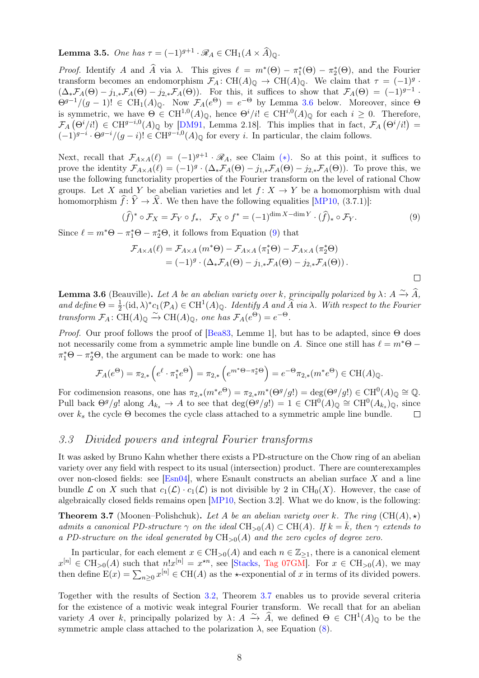<span id="page-7-3"></span>**Lemma 3.5.** One has  $\tau = (-1)^{g+1} \cdot \mathcal{R}_A \in CH_1(A \times \widehat{A})_{\mathbb{Q}}$ .

*Proof.* Identify A and  $\hat{A}$  via  $\lambda$ . This gives  $\ell = m^*(\Theta) - \pi_1^*(\Theta) - \pi_2^*(\Theta)$ , and the Fourier transform becomes an endomorphism  $\mathcal{F}_A: CH(A)_{\mathbb{Q}} \to CH(A)_{\mathbb{Q}}$ . We claim that  $\tau = (-1)^g$ .  $(\Delta_*\mathcal{F}_A(\Theta) - j_{1,*}\mathcal{F}_A(\Theta) - j_{2,*}\mathcal{F}_A(\Theta)).$  For this, it suffices to show that  $\mathcal{F}_A(\Theta) = (-1)^{g-1}$ .  $\Theta^{g-1}/(g-1)! \in \mathrm{CH}_1(A)_{\mathbb{Q}}$ . Now  $\mathcal{F}_A(e^{\Theta}) = e^{-\Theta}$  by Lemma [3.6](#page-7-0) below. Moreover, since  $\Theta$ is symmetric, we have  $\Theta \in \mathrm{CH}^{1,0}(A)_{\mathbb{Q}}$ , hence  $\Theta^{i}/i! \in \mathrm{CH}^{i,0}(A)_{\mathbb{Q}}$  for each  $i \geq 0$ . Therefore,  $\mathcal{F}_A(\Theta^i/i!) \in \mathrm{CH}^{g-i,0}(A)_{\mathbb{Q}}$  by [\[DM91,](#page-19-5) Lemma 2.18]. This implies that in fact,  $\mathcal{F}_A(\Theta^i/i!) =$  $(-1)^{g-i} \cdot \Theta^{g-i}/(g-i)! \in \mathrm{CH}^{g-i,0}(A)_{\mathbb{Q}}$  for every i. In particular, the claim follows.

Next, recall that  $\mathcal{F}_{A\times A}(\ell) = (-1)^{g+1} \cdot \mathcal{R}_A$ , see Claim (\*). So at this point, it suffices to prove the identity  $\mathcal{F}_{A\times A}(\ell) = (-1)^g \cdot (\Delta_* \mathcal{F}_A(\Theta) - j_{1,*} \mathcal{F}_A(\Theta) - j_{2,*} \mathcal{F}_A(\Theta)).$  To prove this, we use the following functoriality properties of the Fourier transform on the level of rational Chow groups. Let X and Y be abelian varieties and let  $f: X \to Y$  be a homomorphism with dual homomorphism  $\hat{f}: \hat{Y} \to \hat{X}$ . We then have the following equalities [\[MP10,](#page-20-2) (3.7.1)]:

<span id="page-7-1"></span> $(\widehat{f})^* \circ \mathcal{F}_X = \mathcal{F}_Y \circ f_*, \quad \mathcal{F}_X \circ f^* = (-1)^{\dim X - \dim Y} \cdot (\widehat{f})_* \circ \mathcal{F}_Y.$  (9)

 $\Box$ 

Since  $\ell = m^* \Theta - \pi_1^* \Theta - \pi_2^* \Theta$ , it follows from Equation [\(9\)](#page-7-1) that

$$
\mathcal{F}_{A \times A}(\ell) = \mathcal{F}_{A \times A} (m^* \Theta) - \mathcal{F}_{A \times A} (\pi_1^* \Theta) - \mathcal{F}_{A \times A} (\pi_2^* \Theta)
$$
  
=  $(-1)^g \cdot (\Delta_* \mathcal{F}_A(\Theta) - j_{1,*} \mathcal{F}_A(\Theta) - j_{2,*} \mathcal{F}_A(\Theta)).$ 

<span id="page-7-0"></span>**Lemma 3.6** (Beauville). Let A be an abelian variety over k, principally polarized by  $\lambda: A \xrightarrow{\sim} \widehat{A}$ , and define  $\Theta = \frac{1}{2} \cdot (\mathrm{id}, \lambda)^* c_1(\mathcal{P}_A) \in \mathrm{CH}^1(A)_{\mathbb{Q}}$ . Identify A and  $\widehat{A}$  via  $\lambda$ . With respect to the Fourier transform  $\mathcal{F}_A: \widetilde{\mathrm{CH}}(A)_{\mathbb{Q}} \xrightarrow{\sim} \mathrm{CH}(A)_{\mathbb{Q}}$ , one has  $\mathcal{F}_A(e^{\Theta}) = e^{-\Theta}$ .

*Proof.* Our proof follows the proof of  $\left[\text{Bea83}, \text{ Lemme 1}\right]$ , but has to be adapted, since  $\Theta$  does not necessarily come from a symmetric ample line bundle on A. Since one still has  $\ell = m^* \Theta \pi_1^* \Theta - \pi_2^* \Theta$ , the argument can be made to work: one has

$$
\mathcal{F}_A(e^{\Theta}) = \pi_{2,*}\left(e^{\ell} \cdot \pi_1^* e^{\Theta}\right) = \pi_{2,*}\left(e^{m^* \Theta - \pi_2^* \Theta}\right) = e^{-\Theta} \pi_{2,*}(m^* e^{\Theta}) \in \mathrm{CH}(A)_{\mathbb{Q}}.
$$

For codimension reasons, one has  $\pi_{2,*}(m^*e^{\Theta}) = \pi_{2,*}m^*(\Theta^g/g!) = \deg(\Theta^g/g!) \in \mathrm{CH}^0(A)_{\mathbb{Q}} \cong \mathbb{Q}.$ Pull back  $\Theta^g/g!$  along  $A_{k_s} \to A$  to see that  $\deg(\Theta^g/g!) = 1 \in \mathrm{CH}^0(A)_{\mathbb{Q}} \cong \mathrm{CH}^0(A_{k_s})_{\mathbb{Q}}$ , since over  $k_s$  the cycle  $\Theta$  becomes the cycle class attached to a symmetric ample line bundle.  $\Box$ 

# 3.3 Divided powers and integral Fourier transforms

It was asked by Bruno Kahn whether there exists a PD-structure on the Chow ring of an abelian variety over any field with respect to its usual (intersection) product. There are counterexamples over non-closed fields: see  $[En04]$ , where Esnault constructs an abelian surface X and a line bundle  $\mathcal L$  on X such that  $c_1(\mathcal L) \cdot c_1(\mathcal L)$  is not divisible by 2 in CH<sub>0</sub>(X). However, the case of algebraically closed fields remains open [\[MP10,](#page-20-2) Section 3.2]. What we do know, is the following:

<span id="page-7-2"></span>**Theorem 3.7** (Moonen–Polishchuk). Let A be an abelian variety over k. The ring  $(CH(A), \star)$ admits a canonical PD-structure  $\gamma$  on the ideal CH<sub>>0</sub>(A)  $\subset$  CH(A). If  $k = \overline{k}$ , then  $\gamma$  extends to a PD-structure on the ideal generated by  $CH_{>0}(A)$  and the zero cycles of degree zero.

In particular, for each element  $x \in \text{CH}_{>0}(A)$  and each  $n \in \mathbb{Z}_{\geq 1}$ , there is a canonical element  $x^{[n]} \in \text{CH}_{>0}(A)$  such that  $n!x^{[n]} = x^{\star n}$ , see [\[Stacks,](#page-20-12) [Tag 07GM\]](https://stacks.math.columbia.edu/tag/07GM). For  $x \in \text{CH}_{>0}(A)$ , we may then define  $E(x) = \sum_{n\geq 0} x^{[n]} \in CH(A)$  as the  $\star$ -exponential of x in terms of its divided powers.

Together with the results of Section [3.2,](#page-5-1) Theorem [3.7](#page-7-2) enables us to provide several criteria for the existence of a motivic weak integral Fourier transform. We recall that for an abelian variety A over k, principally polarized by  $\lambda: A \xrightarrow{\sim} \widehat{A}$ , we defined  $\Theta \in \mathrm{CH}^1(A)_{\mathbb{Q}}$  to be the symmetric ample class attached to the polarization  $\lambda$ , see Equation [\(8\)](#page-6-1).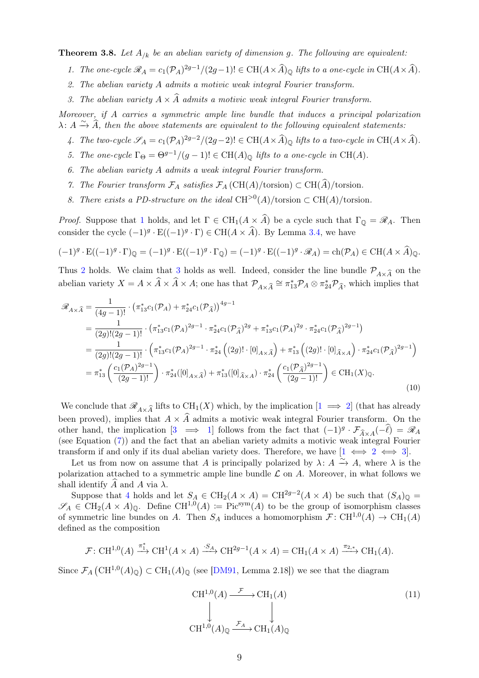<span id="page-8-1"></span><span id="page-8-0"></span>**Theorem 3.8.** Let  $A_{/k}$  be an abelian variety of dimension g. The following are equivalent:

- 1. The one-cycle  $\mathcal{R}_A = c_1(\mathcal{P}_A)^{2g-1}/(2g-1)! \in \mathrm{CH}(A \times \widehat{A})_\mathbb{Q}$  lifts to a one-cycle in  $\mathrm{CH}(A \times \widehat{A})$ .
- <span id="page-8-2"></span>2. The abelian variety A admits a motivic weak integral Fourier transform.
- 3. The abelian variety  $A \times \widehat{A}$  admits a motivic weak integral Fourier transform.

<span id="page-8-4"></span><span id="page-8-3"></span>Moreover, if A carries a symmetric ample line bundle that induces a principal polarization  $\lambda: A \xrightarrow{\sim} \widehat{A}$ , then the above statements are equivalent to the following equivalent statements:

- 4. The two-cycle  $\mathscr{S}_A = c_1(\mathcal{P}_A)^{2g-2}/(2g-2)! \in \mathrm{CH}(A \times \widehat{A})_\mathbb{Q}$  lifts to a two-cycle in  $\mathrm{CH}(A \times \widehat{A})$ .
- <span id="page-8-6"></span>5. The one-cycle  $\Gamma_{\Theta} = \Theta^{g-1}/(g-1)! \in CH(A)_{\mathbb{Q}}$  lifts to a one-cycle in CH(A).
- <span id="page-8-7"></span>6. The abelian variety A admits a weak integral Fourier transform.
- <span id="page-8-8"></span>7. The Fourier transform  $\mathcal{F}_A$  satisfies  $\mathcal{F}_A$  (CH(A)/torsion)  $\subset \text{CH}(\widehat{A})$ /torsion.
- 8. There exists a PD-structure on the ideal CH<sup>>0</sup>(A)/torsion  $\subset CH(A)/t$ orsion.

<span id="page-8-9"></span>*Proof.* Suppose that [1](#page-8-1) holds, and let  $\Gamma \in \text{CH}_1(A \times \widehat{A})$  be a cycle such that  $\Gamma_{\mathbb{Q}} = \mathscr{R}_A$ . Then consider the cycle  $(-1)^g \cdot E((-1)^g \cdot \Gamma) \in CH(A \times \widehat{A})$ . By Lemma [3.4,](#page-5-3) we have

$$
(-1)^{g} \cdot \mathcal{E}((-1)^{g} \cdot \Gamma)_{\mathbb{Q}} = (-1)^{g} \cdot \mathcal{E}((-1)^{g} \cdot \Gamma_{\mathbb{Q}}) = (-1)^{g} \cdot \mathcal{E}((-1)^{g} \cdot \mathcal{R}_{A}) = \text{ch}(\mathcal{P}_{A}) \in \text{CH}(A \times \widehat{A})_{\mathbb{Q}}.
$$

Thus [2](#page-8-2) holds. We claim that [3](#page-8-3) holds as well. Indeed, consider the line bundle  $\mathcal{P}_{A\times\widehat{A}}$  on the abelian variety  $X = A \times \hat{A} \times \hat{A} \times A$ ; one has that  $\mathcal{P}_{A \times \hat{A}} \cong \pi_{13}^* \mathcal{P}_A \otimes \pi_{24}^* \mathcal{P}_{\hat{A}}$ , which implies that

<span id="page-8-10"></span>
$$
\mathcal{R}_{A \times \hat{A}} = \frac{1}{(4g-1)!} \cdot (\pi_{13}^* c_1(\mathcal{P}_A) + \pi_{24}^* c_1(\mathcal{P}_{\hat{A}}))^{4g-1}
$$
\n
$$
= \frac{1}{(2g)!(2g-1)!} \cdot (\pi_{13}^* c_1(\mathcal{P}_A)^{2g-1} \cdot \pi_{24}^* c_1(\mathcal{P}_{\hat{A}})^{2g} + \pi_{13}^* c_1(\mathcal{P}_A)^{2g} \cdot \pi_{24}^* c_1(\mathcal{P}_{\hat{A}})^{2g-1})
$$
\n
$$
= \frac{1}{(2g)!(2g-1)!} \cdot \left(\pi_{13}^* c_1(\mathcal{P}_A)^{2g-1} \cdot \pi_{24}^* \left((2g)!\cdot[0]_{A\times\hat{A}}\right) + \pi_{13}^* \left((2g)!\cdot[0]_{\hat{A}\times A}\right) \cdot \pi_{24}^* c_1(\mathcal{P}_{\hat{A}})^{2g-1}\right)
$$
\n
$$
= \pi_{13}^* \left(\frac{c_1(\mathcal{P}_A)^{2g-1}}{(2g-1)!}\right) \cdot \pi_{24}^* ([0]_{A\times\hat{A}}) + \pi_{13}^* ([0]_{\hat{A}\times A}) \cdot \pi_{24}^* \left(\frac{c_1(\mathcal{P}_{\hat{A}})^{2g-1}}{(2g-1)!}\right) \in \text{CH}_1(X)_{\mathbb{Q}}.
$$
\n(10)

We conclude that  $\mathscr{R}_{A\times\widehat{A}}$  lifts to CH<sub>1</sub>(X) which, by the implication  $[1 \implies 2]$  $[1 \implies 2]$  $[1 \implies 2]$  (that has already been proved), implies that  $A \times \widehat{A}$  admits a motivic weak integral Fourier transform. On the other hand, the implication  $[3 \implies 1]$  $[3 \implies 1]$  $[3 \implies 1]$  follows from the fact that  $(-1)^g \cdot \mathcal{F}_{\hat{A} \times A}(-\hat{\ell}) = \mathcal{R}_A$ (see Equation [\(7\)](#page-6-2)) and the fact that an abelian variety admits a motivic weak integral Fourier transform if and only if its dual abelian variety does. Therefore, we have  $[1 \leftrightarrow 2 \leftrightarrow 3]$  $[1 \leftrightarrow 2 \leftrightarrow 3]$  $[1 \leftrightarrow 2 \leftrightarrow 3]$  $[1 \leftrightarrow 2 \leftrightarrow 3]$  $[1 \leftrightarrow 2 \leftrightarrow 3]$ .

Let us from now on assume that A is principally polarized by  $\lambda: A \stackrel{\sim}{\to} A$ , where  $\lambda$  is the polarization attached to a symmetric ample line bundle  $\mathcal L$  on  $A$ . Moreover, in what follows we shall identify  $\widehat{A}$  and  $A$  via  $\lambda$ .

Suppose that [4](#page-8-4) holds and let  $S_A \in CH_2(A \times A) = CH^{2g-2}(A \times A)$  be such that  $(S_A)_{\mathbb{Q}} =$  $\mathscr{S}_A \in CH_2(A \times A)_{\mathbb{Q}}$ . Define  $\text{CH}^{1,0}(A) := \text{Pic}^{\text{sym}}(A)$  to be the group of isomorphism classes of symmetric line bundes on A. Then  $S_A$  induces a homomorphism  $\mathcal{F} : CH^{1,0}(A) \to CH_1(A)$ defined as the composition

$$
\mathcal{F}: \mathrm{CH}^{1,0}(A) \xrightarrow{\pi_1^*} \mathrm{CH}^1(A \times A) \xrightarrow{\cdot S_A} \mathrm{CH}^{2g-1}(A \times A) = \mathrm{CH}_1(A \times A) \xrightarrow{\pi_{2,*}} \mathrm{CH}_1(A).
$$

Since  $\mathcal{F}_A(\mathrm{CH}^{1,0}(A)_{\mathbb{Q}})\subset \mathrm{CH}_1(A)_{\mathbb{Q}}$  (see [\[DM91,](#page-19-5) Lemma 2.18]) we see that the diagram

<span id="page-8-5"></span>
$$
\begin{array}{ccc}\n\text{CH}^{1,0}(A) & \xrightarrow{\mathcal{F}} & \text{CH}_1(A) \\
\downarrow & & \downarrow \\
\text{CH}^{1,0}(A)_{\mathbb{Q}} & \xrightarrow{\mathcal{F}_A} & \text{CH}_1(A)_{\mathbb{Q}}\n\end{array} \tag{11}
$$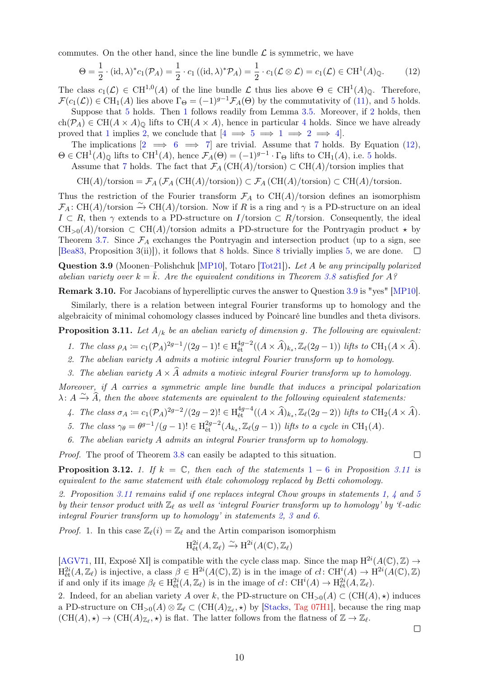commutes. On the other hand, since the line bundle  $\mathcal L$  is symmetric, we have

<span id="page-9-0"></span>
$$
\Theta = \frac{1}{2} \cdot (\mathrm{id}, \lambda)^* c_1(\mathcal{P}_A) = \frac{1}{2} \cdot c_1 \left( (\mathrm{id}, \lambda)^* \mathcal{P}_A \right) = \frac{1}{2} \cdot c_1(\mathcal{L} \otimes \mathcal{L}) = c_1(\mathcal{L}) \in \mathrm{CH}^1(A)_{\mathbb{Q}}.\tag{12}
$$

The class  $c_1(\mathcal{L}) \in \mathrm{CH}^{1,0}(A)$  of the line bundle  $\mathcal{L}$  thus lies above  $\Theta \in \mathrm{CH}^1(A)_{\mathbb{Q}}$ . Therefore,  $\mathcal{F}(c_1(\mathcal{L})) \in \mathrm{CH}_1(A)$  lies above  $\Gamma_{\Theta} = (-1)^{g-1} \mathcal{F}_A(\Theta)$  by the commutativity of [\(11\)](#page-8-5), and [5](#page-8-6) holds.

Suppose that [5](#page-8-6) holds. Then [1](#page-8-1) follows readily from Lemma [3.5.](#page-7-3) Moreover, if [2](#page-8-2) holds, then ch( $P_A$ )  $\in$  CH( $A \times A$ )<sub> $\odot$ </sub> lifts to CH( $A \times A$ ), hence in particular [4](#page-8-4) holds. Since we have already proved that [1](#page-8-1) implies [2,](#page-8-2) we conclude that  $[4 \implies 5 \implies 1 \implies 2 \implies 4]$  $[4 \implies 5 \implies 1 \implies 2 \implies 4]$  $[4 \implies 5 \implies 1 \implies 2 \implies 4]$  $[4 \implies 5 \implies 1 \implies 2 \implies 4]$  $[4 \implies 5 \implies 1 \implies 2 \implies 4]$  $[4 \implies 5 \implies 1 \implies 2 \implies 4]$  $[4 \implies 5 \implies 1 \implies 2 \implies 4]$ .

The implications  $[2 \implies 6 \implies 7]$  $[2 \implies 6 \implies 7]$  $[2 \implies 6 \implies 7]$  $[2 \implies 6 \implies 7]$  $[2 \implies 6 \implies 7]$  are trivial. Assume that [7](#page-8-8) holds. By Equation [\(12\)](#page-9-0),  $\Theta \in \mathrm{CH}^1(A)_{\mathbb{Q}}$  lifts to  $\mathrm{CH}^1(A)$ , hence  $\mathcal{F}_A(\Theta) = (-1)^{g-1} \cdot \Gamma_{\Theta}$  lifts to  $\mathrm{CH}_1(A)$ , i.e. [5](#page-8-6) holds.

Assume that [7](#page-8-8) holds. The fact that  $\mathcal{F}_A(\mathrm{CH}(A)/\mathrm{torsion}) \subset \mathrm{CH}(A)/\mathrm{torsion}$  implies that

 $CH(A)/torsion = \mathcal{F}_A(\mathcal{F}_A(CH(A)/torsion)) \subset \mathcal{F}_A(CH(A)/torsion) \subset CH(A)/torsion.$ 

Thus the restriction of the Fourier transform  $\mathcal{F}_A$  to  $CH(A)/t$ orsion defines an isomorphism  $\mathcal{F}_A: \mathrm{CH}(A)/\text{torsion} \xrightarrow{\sim} \mathrm{CH}(A)/\text{torsion}$ . Now if R is a ring and  $\gamma$  is a PD-structure on an ideal  $I \subset R$ , then  $\gamma$  extends to a PD-structure on  $I/\text{torsion} \subset R/\text{torsion}$ . Consequently, the ideal  $CH_{>0}(A)/t$ orsion  $\subset CH(A)/t$ orsion admits a PD-structure for the Pontryagin product  $\star$  by Theorem [3.7.](#page-7-2) Since  $\mathcal{F}_A$  exchanges the Pontryagin and intersection product (up to a sign, see [\[Bea83,](#page-19-0) Proposition 3(ii)]), it follows that [8](#page-8-9) holds. Since [8](#page-8-9) trivially implies [5,](#page-8-6) we are done.  $\Box$ 

<span id="page-9-1"></span>Question 3.9 (Moonen–Polishchuk [\[MP10\]](#page-20-2), Totaro [\[Tot21\]](#page-20-3)). Let A be any principally polarized abelian variety over  $k = \bar{k}$ . Are the equivalent conditions in Theorem [3.8](#page-8-0) satisfied for A?

Remark 3.10. For Jacobians of hyperelliptic curves the answer to Question [3.9](#page-9-1) is "yes" [\[MP10\]](#page-20-2).

Similarly, there is a relation between integral Fourier transforms up to homology and the algebraicity of minimal cohomology classes induced by Poincaré line bundles and theta divisors.

<span id="page-9-4"></span><span id="page-9-2"></span>**Proposition 3.11.** Let  $A_{/k}$  be an abelian variety of dimension g. The following are equivalent:

1. The class 
$$
\rho_A := c_1(\mathcal{P}_A)^{2g-1}/(2g-1)!
$$
  $\in$   $H_{\text{\'et}}^{4g-2}((A \times \widehat{A})_{k_s}, \mathbb{Z}_{\ell}(2g-1))$  *lifts to*  $\text{CH}_1(A \times \widehat{A})$ .

- <span id="page-9-7"></span>2. The abelian variety A admits a motivic integral Fourier transform up to homology.
- 3. The abelian variety  $A \times \widehat{A}$  admits a motivic integral Fourier transform up to homology.

<span id="page-9-8"></span><span id="page-9-5"></span>Moreover, if A carries a symmetric ample line bundle that induces a principal polarization  $\lambda: A \xrightarrow{\sim} \widehat{A}$ , then the above statements are equivalent to the following equivalent statements:

4. The class 
$$
\sigma_A := c_1(\mathcal{P}_A)^{2g-2}/(2g-2)!
$$
  $\in$   $H_{\text{\'et}}^{4g-4}((A \times \widehat{A})_{k_s}, \mathbb{Z}_{\ell}(2g-2))$  *lifts to*  $\text{CH}_2(A \times \widehat{A})$ .

- <span id="page-9-6"></span>5. The class  $\gamma_{\theta} = \theta^{g-1}/(g-1)! \in H_{\text{\'et}}^{2g-2}(A_{k_s}, \mathbb{Z}_{\ell}(g-1))$  lifts to a cycle in CH<sub>1</sub>(A).
- 6. The abelian variety A admits an integral Fourier transform up to homology.

<span id="page-9-3"></span>Proof. The proof of Theorem [3.8](#page-8-0) can easily be adapted to this situation.

 $\Box$ 

<span id="page-9-9"></span>**Proposition 3.[1](#page-9-2)2.** 1. If  $k = \mathbb{C}$ , then each of the statements  $1 - 6$  $1 - 6$  in Proposition [3.11](#page-9-4) is equivalent to the same statement with étale cohomology replaced by Betti cohomology.

<span id="page-9-10"></span>2. Proposition [3.11](#page-9-4) remains valid if one replaces integral Chow groups in statements [1,](#page-9-2) [4](#page-9-5) and [5](#page-9-6) by their tensor product with  $\mathbb{Z}_{\ell}$  as well as 'integral Fourier transform up to homology' by 'l-adic integral Fourier transform up to homology' in statements [2,](#page-9-7) [3](#page-9-8) and [6.](#page-9-3)

*Proof.* 1. In this case  $\mathbb{Z}_{\ell}(i) = \mathbb{Z}_{\ell}$  and the Artin comparison isomorphism

$$
\mathrm{H}_{\mathrm{\acute{e}t}}^{2i}(A,\mathbb{Z}_{\ell}) \xrightarrow{\sim} \mathrm{H}^{2i}(A(\mathbb{C}),\mathbb{Z}_{\ell})
$$

[\[AGV71,](#page-19-7) III, Exposé XI] is compatible with the cycle class map. Since the map  $H^{2i}(A(\mathbb{C}), \mathbb{Z}) \to$  $H^{2i}_{\text{\'et}}(A,\mathbb{Z}_\ell)$  is injective, a class  $\beta \in H^{2i}(A(\mathbb{C}),\mathbb{Z})$  is in the image of  $cl: \text{CH}^i(A) \to H^{2i}(A(\mathbb{C}),\mathbb{Z})$ if and only if its image  $\beta_{\ell} \in H^{2i}_{\text{\'et}}(A, \mathbb{Z}_{\ell})$  is in the image of  $cl: \text{CH}^i(A) \to H^{2i}_{\text{\'et}}(A, \mathbb{Z}_{\ell}).$ 

2. Indeed, for an abelian variety A over k, the PD-structure on  $\text{CH}_{>0}(A) \subset (\text{CH}(A), \star)$  induces a PD-structure on  $\text{CH}_{>0}(A) \otimes \mathbb{Z}_{\ell} \subset (\text{CH}(A)_{\mathbb{Z}_{\ell}}, \star)$  by [\[Stacks,](#page-20-12) [Tag 07H1\]](https://stacks.math.columbia.edu/tag/07H1), because the ring map  $(\text{CH}(A), \star) \to (\text{CH}(A)_{\mathbb{Z}_{\ell}}, \star)$  is flat. The latter follows from the flatness of  $\mathbb{Z} \to \mathbb{Z}_{\ell}$ .

 $\Box$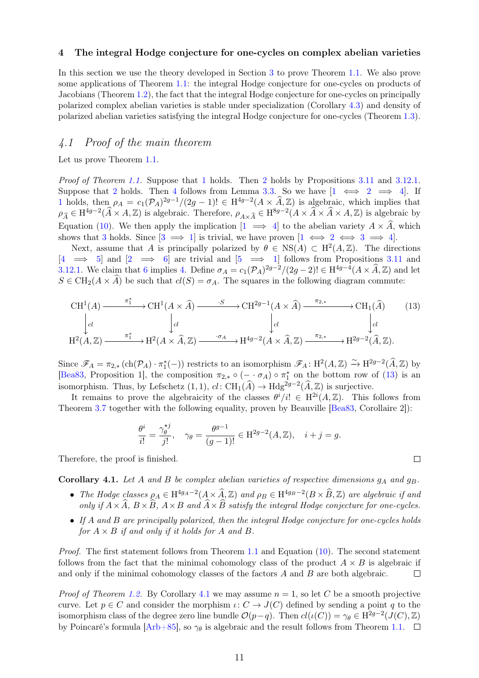#### <span id="page-10-0"></span>4 The integral Hodge conjecture for one-cycles on complex abelian varieties

In this section we use the theory developed in Section [3](#page-3-0) to prove Theorem [1.1.](#page-1-4) We also prove some applications of Theorem [1.1:](#page-1-4) the integral Hodge conjecture for one-cycles on products of Jacobians (Theorem [1.2\)](#page-1-3), the fact that the integral Hodge conjecture for one-cycles on principally polarized complex abelian varieties is stable under specialization (Corollary [4.3\)](#page-11-1) and density of polarized abelian varieties satisfying the integral Hodge conjecture for one-cycles (Theorem [1.3\)](#page-1-5).

## 4.1 Proof of the main theorem

Let us prove Theorem [1.1.](#page-1-4)

Proof of Theorem [1.1.](#page-1-4) Suppose that [1](#page-1-0) holds. Then [2](#page-1-6) holds by Propositions [3.11](#page-9-4) and [3.12](#page-0-0)[.1.](#page-9-9) Suppose that [2](#page-1-6) holds. Then [4](#page-1-7) follows from Lemma [3.3.](#page-5-4) So we have  $[1 \iff 2 \implies 4]$  $[1 \iff 2 \implies 4]$  $[1 \iff 2 \implies 4]$ . If [1](#page-1-0) holds, then  $\rho_A = c_1(\mathcal{P}_A)^{2g-1}/(2g-1)! \in H^{4g-2}(A \times \widehat{A}, \mathbb{Z})$  is algebraic, which implies that  $\rho_{\widehat{A}} \in H^{4g-2}(\widehat{A} \times A, \mathbb{Z})$  is algebraic. Therefore,  $\rho_{A \times \widehat{A}} \in H^{8g-2}(A \times \widehat{A} \times A, \mathbb{Z})$  is algebraic by Equation [\(10\)](#page-8-10). We then apply the implication  $[1 \implies 4]$  $[1 \implies 4]$  $[1 \implies 4]$  to the abelian variety  $A \times \hat{A}$ , which shows that [3](#page-1-8) holds. Since  $[3 \implies 1]$  $[3 \implies 1]$  $[3 \implies 1]$  is trivial, we have proven  $[1 \iff 2 \iff 3 \implies 4]$  $[1 \iff 2 \iff 3 \implies 4]$  $[1 \iff 2 \iff 3 \implies 4]$  $[1 \iff 2 \iff 3 \implies 4]$  $[1 \iff 2 \iff 3 \implies 4]$ .

Next, assume that A is principally polarized by  $\theta \in NS(A) \subset H^2(A,\mathbb{Z})$ . The directions  $[4 \implies 5]$  $[4 \implies 5]$  $[4 \implies 5]$  and  $[2 \implies 6]$  $[2 \implies 6]$  $[2 \implies 6]$  are trivial and  $[5 \implies 1]$  $[5 \implies 1]$  $[5 \implies 1]$  follows from Propositions [3.11](#page-9-4) and [3.12.](#page-0-0)[1.](#page-9-9) We claim that [6](#page-1-1) implies [4.](#page-1-7) Define  $\sigma_A = c_1(\mathcal{P}_A)^{2g-2}/(2g-2)! \in \mathrm{H}^{4g-4}(A \times \widehat{A}, \mathbb{Z})$  and let  $S \in CH_2(A \times \hat{A})$  be such that  $cl(S) = \sigma_A$ . The squares in the following diagram commute:

<span id="page-10-1"></span>
$$
\begin{array}{ccc}\n\text{CH}^{1}(A) & \xrightarrow{\pi_{1}^{*}} \text{CH}^{1}(A \times \widehat{A}) \xrightarrow{\cdot S} \text{CH}^{2g-1}(A \times \widehat{A}) \xrightarrow{\pi_{2,*}} \text{CH}_{1}(\widehat{A}) & (13) \\
\downarrow d & \downarrow d & \downarrow d \\
\text{H}^{2}(A, \mathbb{Z}) & \xrightarrow{\pi_{1}^{*}} \text{H}^{2}(A \times \widehat{A}, \mathbb{Z}) \xrightarrow{\cdot \sigma_{A}} \text{H}^{4g-2}(A \times \widehat{A}, \mathbb{Z}) \xrightarrow{\pi_{2,*}} \text{H}^{2g-2}(\widehat{A}, \mathbb{Z}).\n\end{array}
$$

Since  $\mathscr{F}_A = \pi_{2,*} (\text{ch}(\mathcal{P}_A) \cdot \pi_1^*(-))$  restricts to an isomorphism  $\mathscr{F}_A : H^2(A, \mathbb{Z}) \xrightarrow{\sim} H^{2g-2}(\widehat{A}, \mathbb{Z})$  by [\[Bea83,](#page-19-0) Proposition 1], the composition  $\pi_{2,*} \circ (- \cdot \sigma_A) \circ \pi_1^*$  on the bottom row of [\(13\)](#page-10-1) is an isomorphism. Thus, by Lefschetz  $(1,1)$ ,  $cl: CH_1(\widehat{A}) \to Hdg^{2g-2}(\widehat{A}, \mathbb{Z})$  is surjective.

It remains to prove the algebraicity of the classes  $\theta^i/i! \in H^{2i}(A,\mathbb{Z})$ . This follows from Theorem [3.7](#page-7-2) together with the following equality, proven by Beauville [\[Bea83,](#page-19-0) Corollaire 2]):

$$
\frac{\theta^i}{i!} = \frac{\gamma_{\theta}^{\star j}}{j!}, \quad \gamma_{\theta} = \frac{\theta^{g-1}}{(g-1)!} \in \mathcal{H}^{2g-2}(A, \mathbb{Z}), \quad i+j=g.
$$

Therefore, the proof is finished.

<span id="page-10-2"></span>Corollary 4.1. Let A and B be complex abelian varieties of respective dimensions  $g_A$  and  $g_B$ .

- The Hodge classes  $\rho_A \in H^{4g_A-2}(A \times \widehat{A}, \mathbb{Z})$  and  $\rho_B \in H^{4g_B-2}(B \times \widehat{B}, \mathbb{Z})$  are algebraic if and only if  $A \times \widehat{A}$ ,  $B \times \widehat{B}$ ,  $A \times B$  and  $\widehat{A} \times \widehat{B}$  satisfy the integral Hodge conjecture for one-cycles.
- If A and B are principally polarized, then the integral Hodge conjecture for one-cycles holds for  $A \times B$  if and only if it holds for A and B.

Proof. The first statement follows from Theorem [1.1](#page-1-4) and Equation [\(10\)](#page-8-10). The second statement follows from the fact that the minimal cohomology class of the product  $A \times B$  is algebraic if and only if the minimal cohomology classes of the factors A and B are both algebraic.  $\Box$ 

*Proof of Theorem [1.2.](#page-1-3)* By Corollary [4.1](#page-10-2) we may assume  $n = 1$ , so let C be a smooth projective curve. Let  $p \in C$  and consider the morphism  $\iota: C \to J(C)$  defined by sending a point q to the isomorphism class of the degree zero line bundle  $\mathcal{O}(p-q)$ . Then  $cl(\iota(C)) = \gamma_{\theta} \in \mathrm{H}^{2g-2}(J(C), \mathbb{Z})$ by Poincaré's formula  $[Arb+85]$ , so  $\gamma_{\theta}$  is algebraic and the result follows from Theorem [1.1.](#page-1-4)  $\Box$ 

 $\Box$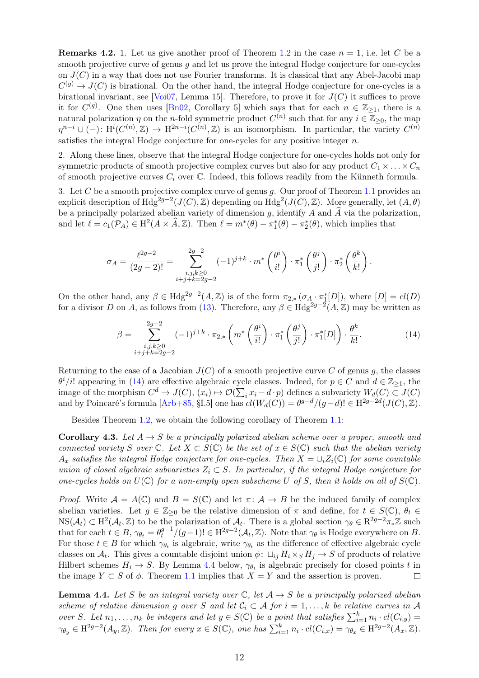<span id="page-11-0"></span>**Remarks 4.2.** 1. Let us give another proof of Theorem [1.2](#page-1-3) in the case  $n = 1$ , i.e. let C be a smooth projective curve of genus  $q$  and let us prove the integral Hodge conjecture for one-cycles on  $J(C)$  in a way that does not use Fourier transforms. It is classical that any Abel-Jacobi map  $C^{(g)} \to J(C)$  is birational. On the other hand, the integral Hodge conjecture for one-cycles is a birational invariant, see [\[Voi07,](#page-20-13) Lemma 15]. Therefore, to prove it for  $J(C)$  it suffices to prove it for  $C^{(g)}$ . One then uses [\[Bn02,](#page-19-9) Corollary 5] which says that for each  $n \in \mathbb{Z}_{\geq 1}$ , there is a natural polarization  $\eta$  on the *n*-fold symmetric product  $C^{(n)}$  such that for any  $i \in \mathbb{Z}_{\geq 0}$ , the map  $\eta^{n-i} \cup (-) \colon \mathrm{H}^i(C^{(n)}, \mathbb{Z}) \to \mathrm{H}^{2n-i}(C^{(n)}, \mathbb{Z})$  is an isomorphism. In particular, the variety  $C^{(n)}$ satisfies the integral Hodge conjecture for one-cycles for any positive integer  $n$ .

2. Along these lines, observe that the integral Hodge conjecture for one-cycles holds not only for symmetric products of smooth projective complex curves but also for any product  $C_1 \times \ldots \times C_n$ of smooth projective curves  $C_i$  over  $\mathbb C$ . Indeed, this follows readily from the Künneth formula.

3. Let C be a smooth projective complex curve of genus q. Our proof of Theorem [1.1](#page-1-4) provides an explicit description of  $Hdg^{2g-2}(J(C),\mathbb{Z})$  depending on  $Hdg^{2}(J(C),\mathbb{Z})$ . More generally, let  $(A,\theta)$ be a principally polarized abelian variety of dimension g, identify A and  $\hat{A}$  via the polarization, and let  $\ell = c_1(\mathcal{P}_A) \in \mathrm{H}^2(A \times \widehat{A}, \mathbb{Z})$ . Then  $\ell = m^*(\theta) - \pi_1^*(\theta) - \pi_2^*(\theta)$ , which implies that

$$
\sigma_A = \frac{\ell^{2g-2}}{(2g-2)!} = \sum_{\substack{i,j,k \geq 0 \\ i+j+k = 2g-2}}^{2g-2} (-1)^{j+k} \cdot m^* \left(\frac{\theta^i}{i!}\right) \cdot \pi_1^* \left(\frac{\theta^j}{j!}\right) \cdot \pi_2^* \left(\frac{\theta^k}{k!}\right).
$$

On the other hand, any  $\beta \in Hdg^{2g-2}(A, \mathbb{Z})$  is of the form  $\pi_{2,*}(\sigma_{A} \cdot \pi_1^*[D])$ , where  $[D] = cl(D)$ for a divisor D on A, as follows from [\(13\)](#page-10-1). Therefore, any  $\beta \in Hdg^{2g-2}(A,\mathbb{Z})$  may be written as

<span id="page-11-2"></span>
$$
\beta = \sum_{\substack{i,j,k \geq 0 \\ i+j+k=2g-2}}^{2g-2} (-1)^{j+k} \cdot \pi_{2,*} \left( m^* \left( \frac{\theta^i}{i!} \right) \cdot \pi_1^* \left( \frac{\theta^j}{j!} \right) \cdot \pi_1^*[D] \right) \cdot \frac{\theta^k}{k!}.
$$
 (14)

Returning to the case of a Jacobian  $J(C)$  of a smooth projective curve C of genus g, the classes  $\theta^i/i!$  appearing in [\(14\)](#page-11-2) are effective algebraic cycle classes. Indeed, for  $p \in C$  and  $d \in \mathbb{Z}_{\geq 1}$ , the image of the morphism  $C^d \to J(C)$ ,  $(x_i) \mapsto \mathcal{O}(\sum_i x_i - d \cdot p)$  defines a subvariety  $W_d(C) \subset J(C)$ and by Poincaré's formula  $[Arb+85, §I.5]$  $[Arb+85, §I.5]$  one has  $cl(W_d(C)) = \theta^{g-d}/(g-d)! \in H^{2g-2d}(J(C), \mathbb{Z})$ .

Besides Theorem [1.2,](#page-1-3) we obtain the following corollary of Theorem [1.1:](#page-1-4)

<span id="page-11-1"></span>**Corollary 4.3.** Let  $A \rightarrow S$  be a principally polarized abelian scheme over a proper, smooth and connected variety S over  $\mathbb C$ . Let  $X \subset S(\mathbb C)$  be the set of  $x \in S(\mathbb C)$  such that the abelian variety  $A_x$  satisfies the integral Hodge conjecture for one-cycles. Then  $X = \bigcup_i Z_i(\mathbb{C})$  for some countable union of closed algebraic subvarieties  $Z_i \subset S$ . In particular, if the integral Hodge conjecture for one-cycles holds on  $U(\mathbb{C})$  for a non-empty open subscheme U of S, then it holds on all of  $S(\mathbb{C})$ .

*Proof.* Write  $A = A(\mathbb{C})$  and  $B = S(\mathbb{C})$  and let  $\pi: A \to B$  be the induced family of complex abelian varieties. Let  $g \in \mathbb{Z}_{\geq 0}$  be the relative dimension of  $\pi$  and define, for  $t \in S(\mathbb{C})$ ,  $\theta_t \in$  $NS(\mathcal{A}_t) \subset H^2(\mathcal{A}_t, \mathbb{Z})$  to be the polarization of  $\mathcal{A}_t$ . There is a global section  $\gamma_{\theta} \in \mathbb{R}^{2g-2} \pi_* \mathbb{Z}$  such that for each  $t \in B$ ,  $\gamma_{\theta_t} = \theta_t^{g-1}$  $t_f^{g-1}/(g-1)! \in \mathrm{H}^{2g-2}(\mathcal{A}_t, \mathbb{Z})$ . Note that  $\gamma_{\theta}$  is Hodge everywhere on B. For those  $t \in B$  for which  $\gamma_{\theta_t}$  is algebraic, write  $\gamma_{\theta_t}$  as the difference of effective algebraic cycle classes on  $\mathcal{A}_t$ . This gives a countable disjoint union  $\phi: \sqcup_{ij} H_i \times_S H_j \to S$  of products of relative Hilbert schemes  $H_i \to S$ . By Lemma [4.4](#page-11-3) below,  $\gamma_{\theta_t}$  is algebraic precisely for closed points t in the image  $Y \subset S$  of  $\phi$ . Theorem [1.1](#page-1-4) implies that  $X = Y$  and the assertion is proven.  $\Box$ 

<span id="page-11-3"></span>**Lemma 4.4.** Let S be an integral variety over  $\mathbb{C}$ , let  $A \rightarrow S$  be a principally polarized abelian scheme of relative dimension g over S and let  $C_i \subset A$  for  $i = 1, ..., k$  be relative curves in A over S. Let  $n_1, \ldots, n_k$  be integers and let  $y \in S(\mathbb{C})$  be a point that satisfies  $\sum_{i=1}^k n_i \cdot cl(C_{i,y}) =$  $\gamma_{\theta_y} \in H^{2g-2}(A_y, \mathbb{Z})$ . Then for every  $x \in S(\mathbb{C})$ , one has  $\sum_{i=1}^{k} n_i \cdot cl(C_{i,x}) = \gamma_{\theta_x} \in H^{2g-2}(A_x, \mathbb{Z})$ .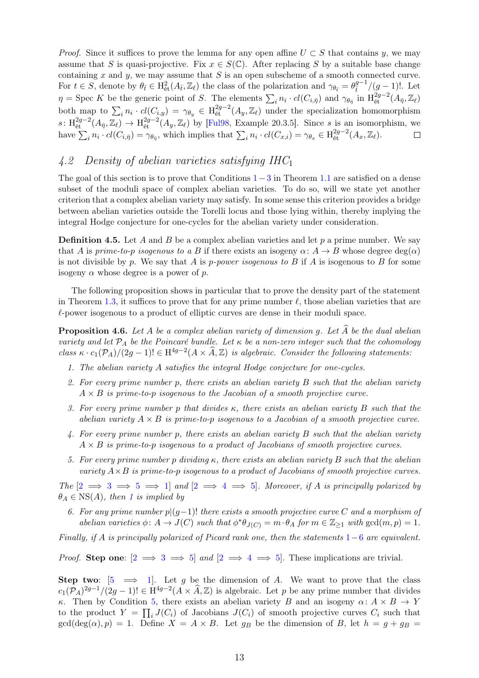*Proof.* Since it suffices to prove the lemma for any open affine  $U \subset S$  that contains y, we may assume that S is quasi-projective. Fix  $x \in S(\mathbb{C})$ . After replacing S by a suitable base change containing x and y, we may assume that  $S$  is an open subscheme of a smooth connected curve. For  $t \in S$ , denote by  $\theta_{\bar{t}} \in \mathrm{H}_{\text{\'et}}^2(A_{\bar{t}}, \mathbb{Z}_\ell)$  the class of the polarization and  $\gamma_{\theta_{\bar{t}}} = \theta_{\bar{t}}^{g-1}/(g-1)!$ . Let  $\eta = \text{Spec } K$  be the generic point of S. The elements  $\sum_i n_i \cdot cl(C_{i,\bar{\eta}})$  and  $\gamma_{\theta_{\bar{\eta}}}$  in  $\text{H}^{2g-2}_{\text{\'et}}(A_{\bar{\eta}}, \mathbb{Z}_\ell)$ both map to  $\sum_i n_i \cdot cl(C_{i,y}) = \gamma_{\theta_y} \in H^{2g-2}_{\text{\textup{\'et}}}(A_y, \mathbb{Z}_\ell)$  under the specialization homomorphism  $s: H^{2g-2}_{\text{\rm \'et}}(A_{\bar{\eta}},\mathbb{Z}_\ell) \to H^{2g-2}_{\text{\rm \'et}}(A_y,\mathbb{Z}_\ell)$  by [\[Ful98,](#page-19-10) Example 20.3.5]. Since s is an isomorphism, we have  $\sum_i n_i \cdot cl(C_{i,\bar{\eta}}) = \gamma_{\theta_{\bar{\eta}}}$ , which implies that  $\sum_i n_i \cdot cl(C_{x,i}) = \gamma_{\theta_x} \in H^{2g-2}_{\text{\'et}}(A_x, \mathbb{Z}_\ell)$ .  $\Box$ 

# <span id="page-12-0"></span>4.2 Density of abelian varieties satisfying IHC<sup>1</sup>

The goal of this section is to prove that Conditions  $1-3$  $1-3$  $1-3$  in Theorem [1.1](#page-1-4) are satisfied on a dense subset of the moduli space of complex abelian varieties. To do so, will we state yet another criterion that a complex abelian variety may satisfy. In some sense this criterion provides a bridge between abelian varieties outside the Torelli locus and those lying within, thereby implying the integral Hodge conjecture for one-cycles for the abelian variety under consideration.

<span id="page-12-7"></span>**Definition 4.5.** Let A and B be a complex abelian varieties and let p a prime number. We say that A is prime-to-p isogenous to a B if there exists an isogeny  $\alpha: A \to B$  whose degree  $deg(\alpha)$ is not divisible by p. We say that A is p-power isogenous to B if A is isogenous to B for some isogeny  $\alpha$  whose degree is a power of p.

The following proposition shows in particular that to prove the density part of the statement in Theorem [1.3,](#page-1-5) it suffices to prove that for any prime number  $\ell$ , those abelian varieties that are  $\ell$ -power isogenous to a product of elliptic curves are dense in their moduli space.

**Proposition 4.6.** Let A be a complex abelian variety of dimension g. Let  $\widehat{A}$  be the dual abelian variety and let  $P_A$  be the Poincaré bundle. Let  $\kappa$  be a non-zero integer such that the cohomology class  $\kappa \cdot c_1(\mathcal{P}_A)/(2g-1)! \in \mathrm{H}^{4g-2}(A \times \widehat{A}, \mathbb{Z})$  is algebraic. Consider the following statements:

- <span id="page-12-4"></span>1. The abelian variety A satisfies the integral Hodge conjecture for one-cycles.
- <span id="page-12-1"></span>2. For every prime number p, there exists an abelian variety  $B$  such that the abelian variety  $A \times B$  is prime-to-p isogenous to the Jacobian of a smooth projective curve.
- <span id="page-12-2"></span>3. For every prime number p that divides  $\kappa$ , there exists an abelian variety B such that the abelian variety  $A \times B$  is prime-to-p isogenous to a Jacobian of a smooth projective curve.
- <span id="page-12-5"></span>4. For every prime number p, there exists an abelian variety B such that the abelian variety  $A \times B$  is prime-to-p isogenous to a product of Jacobians of smooth projective curves.
- <span id="page-12-3"></span>5. For every prime number p dividing  $\kappa$ , there exists an abelian variety B such that the abelian variety  $A \times B$  is prime-to-p isogenous to a product of Jacobians of smooth projective curves.

<span id="page-12-6"></span>The  $[2 \implies 3 \implies 5 \implies 1]$  $[2 \implies 3 \implies 5 \implies 1]$  $[2 \implies 3 \implies 5 \implies 1]$  $[2 \implies 3 \implies 5 \implies 1]$  $[2 \implies 3 \implies 5 \implies 1]$  $[2 \implies 3 \implies 5 \implies 1]$  $[2 \implies 3 \implies 5 \implies 1]$  and  $[2 \implies 4 \implies 5]$  $[2 \implies 4 \implies 5]$  $[2 \implies 4 \implies 5]$  $[2 \implies 4 \implies 5]$ . Moreover, if A is principally polarized by  $\theta_A \in \text{NS}(A)$ , then [1](#page-12-4) is implied by

6. For any prime number  $p|(g-1)!$  there exists a smooth projective curve C and a morphism of abelian varieties  $\phi: A \to J(C)$  such that  $\phi^* \theta_{J(C)} = m \cdot \theta_A$  for  $m \in \mathbb{Z}_{\geq 1}$  with  $gcd(m, p) = 1$ .

Finally, if A is principally polarized of Picard rank one, then the statements  $1-6$  $1-6$  $1-6$  are equivalent.

*Proof.* Step one:  $[2 \implies 3 \implies 5]$  $[2 \implies 3 \implies 5]$  $[2 \implies 3 \implies 5]$  $[2 \implies 3 \implies 5]$  $[2 \implies 3 \implies 5]$  and  $[2 \implies 4 \implies 5]$  $[2 \implies 4 \implies 5]$  $[2 \implies 4 \implies 5]$ . These implications are trivial.

Step two:  $[5 \implies 1]$  $[5 \implies 1]$  $[5 \implies 1]$ . Let g be the dimension of A. We want to prove that the class  $c_1(\mathcal{P}_A)^{2g-1}/(2g-1)! \in \mathrm{H}^{4g-2}(A \times \widehat{A}, \mathbb{Z})$  is algebraic. Let p be any prime number that divides κ. Then by Condition [5,](#page-12-3) there exists an abelian variety B and an isogeny  $\alpha: A \times B \to Y$ to the product  $Y = \prod_i J(C_i)$  of Jacobians  $J(C_i)$  of smooth projective curves  $C_i$  such that  $gcd(deg(\alpha), p) = 1$ . Define  $X = A \times B$ . Let  $g_B$  be the dimension of B, let  $h = g + g_B$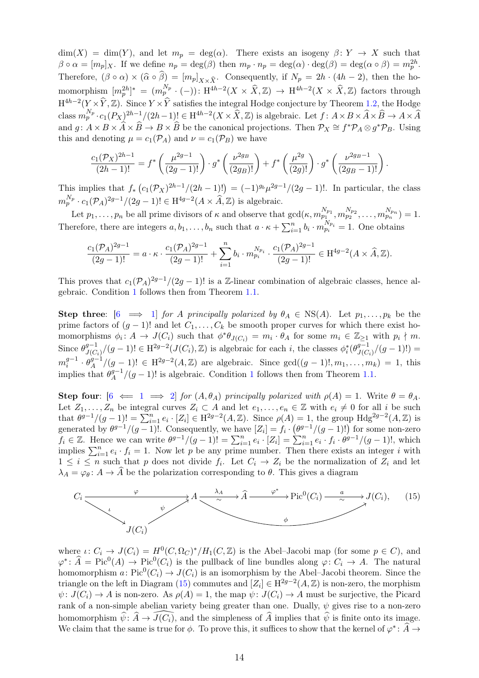$\dim(X) = \dim(Y)$ , and let  $m_p = \deg(\alpha)$ . There exists an isogeny  $\beta: Y \to X$  such that  $\beta \circ \alpha = [m_p]_X$ . If we define  $n_p = \deg(\beta)$  then  $m_p \cdot n_p = \deg(\alpha) \cdot \deg(\beta) = \deg(\alpha \circ \beta) = m_p^{2h}$ . Therefore,  $(\beta \circ \alpha) \times (\widehat{\alpha} \circ \widehat{\beta}) = [m_p]_{X \times \widehat{X}}$ . Consequently, if  $N_p = 2h \cdot (4h - 2)$ , then the homomorphism  $[m_p^{2h}]^* = (m_p^{N_p} \cdot (-)) : H^{4h-2}(X \times \hat{X}, \mathbb{Z}) \to H^{4h-2}(X \times \hat{X}, \mathbb{Z})$  factors through  $H^{4h-2}(Y \times \hat{Y}, \mathbb{Z})$ . Since  $Y \times \hat{Y}$  satisfies the integral Hodge conjecture by Theorem [1.2,](#page-1-3) the Hodge class  $m_p^{N_p} \cdot c_1(P_X)^{2h-1}/(2h-1)! \in H^{4h-2}(X \times \widehat{X}, \mathbb{Z})$  is algebraic. Let  $f: A \times B \times \widehat{A} \times \widehat{B} \to A \times \widehat{A}$ and  $g: A \times B \times \widehat{A} \times \widehat{B} \to B \times \widehat{B}$  be the canonical projections. Then  $\mathcal{P}_X \cong f^* \mathcal{P}_A \otimes g^* \mathcal{P}_B$ . Using this and denoting  $\mu = c_1(\mathcal{P}_A)$  and  $\nu = c_1(\mathcal{P}_B)$  we have

$$
\frac{c_1(\mathcal{P}_X)^{2h-1}}{(2h-1)!} = f^* \left( \frac{\mu^{2g-1}}{(2g-1)!} \right) \cdot g^* \left( \frac{\nu^{2g}}{(2g)} \right) + f^* \left( \frac{\mu^{2g}}{(2g)!} \right) \cdot g^* \left( \frac{\nu^{2g}}{(2g)} \right).
$$

This implies that  $f_* (c_1(\mathcal{P}_X)^{2h-1}/(2h-1)!) = (-1)^{g_b}\mu^{2g-1}/(2g-1)!$ . In particular, the class  $m_p^{N_p} \cdot c_1(\mathcal{P}_A)^{2g-1}/(2g-1)! \in \mathrm{H}^{4g-2}(A \times \widehat{A}, \mathbb{Z})$  is algebraic.

Let  $p_1, \ldots, p_n$  be all prime divisors of  $\kappa$  and observe that  $gcd(\kappa, m_{p_1}^{N_{p_1}}, m_{p_2}^{N_{p_2}}, \ldots, m_{p_n}^{N_{p_n}}) = 1$ . Therefore, there are integers  $a, b_1, \ldots, b_n$  such that  $a \cdot \kappa + \sum_{i=1}^n b_i \cdot m_{p_i}^{N_{p_i}} = 1$ . One obtains

$$
\frac{c_1(\mathcal{P}_A)^{2g-1}}{(2g-1)!}=a\cdot\kappa\cdot\frac{c_1(\mathcal{P}_A)^{2g-1}}{(2g-1)!}+\sum_{i=1}^n b_i\cdot m_{p_i}^{N_{p_i}}\cdot\frac{c_1(\mathcal{P}_A)^{2g-1}}{(2g-1)!}\in \mathrm{H}^{4g-2}(A\times\widehat{A},\mathbb{Z}).
$$

This proves that  $c_1(\mathcal{P}_A)^{2g-1}/(2g-1)!$  is a Z-linear combination of algebraic classes, hence algebraic. Condition [1](#page-12-4) follows then from Theorem [1.1.](#page-1-4)

Step three:  $\begin{bmatrix} 6 \implies 1 \end{bmatrix}$  $\begin{bmatrix} 6 \implies 1 \end{bmatrix}$  $\begin{bmatrix} 6 \implies 1 \end{bmatrix}$  for A principally polarized by  $\theta_A \in \text{NS}(A)$ . Let  $p_1, \ldots, p_k$  be the prime factors of  $(g - 1)!$  and let  $C_1, \ldots, C_k$  be smooth proper curves for which there exist homomorphisms  $\phi_i \colon A \to J(C_i)$  such that  $\phi^* \theta_{J(C_i)} = m_i \cdot \theta_A$  for some  $m_i \in \mathbb{Z}_{\geq 1}$  with  $p_i \nmid m$ . Since  $\theta_{IC}^{g-1}$  $J(C_i)/(g-1)! \in H^{2g-2}(J(C_i), \mathbb{Z})$  is algebraic for each *i*, the classes  $\phi_i^*(\theta_{J(C_i)}^{g-1})$  $J(C_i)/(g-1)!$ ) =  $m_i^{g-1}$  $\frac{g-1}{i} \cdot \theta_A^{g-1}$  $A^{g-1}/(g-1)! \in H^{2g-2}(A,\mathbb{Z})$  are algebraic. Since  $gcd((g-1)!, m_1, \ldots, m_k) = 1$ , this implies that  $\theta_4^{g-1}$  $\binom{g-1}{A}$  $\binom{g-1}{A}$  $\binom{g-1}{A}$  (g - 1)! is algebraic. Condition 1 follows then from Theorem [1.1.](#page-1-4)

Step four:  $[6 \iff 1 \implies 2]$  $[6 \iff 1 \implies 2]$  $[6 \iff 1 \implies 2]$  $[6 \iff 1 \implies 2]$  $[6 \iff 1 \implies 2]$  $[6 \iff 1 \implies 2]$  for  $(A, \theta_A)$  principally polarized with  $\rho(A) = 1$ . Write  $\theta = \theta_A$ . Let  $Z_1, \ldots, Z_n$  be integral curves  $Z_i \subset A$  and let  $e_1, \ldots, e_n \in \mathbb{Z}$  with  $e_i \neq 0$  for all i be such that  $\theta^{g-1}/(g-1)! = \sum_{i=1}^n e_i \cdot [Z_i] \in H^{2g-2}(A, \mathbb{Z})$ . Since  $\rho(A) = 1$ , the group  $H dg^{2g-2}(A, \mathbb{Z})$  is generated by  $\theta^{g-1}/(g-1)!$ . Consequently, we have  $[Z_i] = f_i \cdot (\theta^{g-1}/(g-1)!)$  for some non-zero  $f_i \in \mathbb{Z}$ . Hence we can write  $\theta^{g-1}/(g-1)! = \sum_{i=1}^n e_i \cdot [Z_i] = \sum_{i=1}^n e_i \cdot f_i \cdot \theta^{g-1}/(g-1)!$ , which implies  $\sum_{i=1}^{n} e_i \cdot f_i = 1$ . Now let p be any prime number. Then there exists an integer i with  $1 \leq i \leq n$  such that p does not divide  $f_i$ . Let  $C_i \to Z_i$  be the normalization of  $Z_i$  and let  $\lambda_A = \varphi_\theta \colon A \to \widehat{A}$  be the polarization corresponding to  $\theta$ . This gives a diagram

<span id="page-13-0"></span>

where  $\iota: C_i \to J(C_i) = H^0(C, \Omega_C)^*/H_1(C, \mathbb{Z})$  is the Abel-Jacobi map (for some  $p \in C$ ), and  $\varphi^* \colon \widehat{A} = \text{Pic}^0(A) \to \text{Pic}^0(C_i)$  is the pullback of line bundles along  $\varphi \colon C_i \to A$ . The natural homomorphism  $a: Pic^0(C_i) \to J(C_i)$  is an isomorphism by the Abel–Jacobi theorem. Since the triangle on the left in Diagram [\(15\)](#page-13-0) commutes and  $[Z_i] \in H^{2g-2}(A, \mathbb{Z})$  is non-zero, the morphism  $\psi: J(C_i) \to A$  is non-zero. As  $\rho(A) = 1$ , the map  $\psi: J(C_i) \to A$  must be surjective, the Picard rank of a non-simple abelian variety being greater than one. Dually,  $\psi$  gives rise to a non-zero homomorphism  $\hat{\psi}$ :  $\hat{A} \rightarrow \widehat{J(C_i)}$ , and the simpleness of  $\hat{A}$  implies that  $\hat{\psi}$  is finite onto its image. We claim that the same is true for  $\phi$ . To prove this, it suffices to show that the kernel of  $\varphi^* \colon \widehat{A} \to$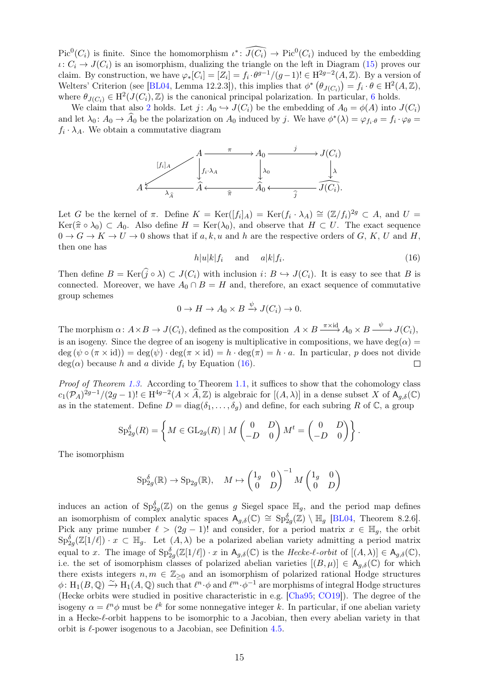$Pic^0(C_i)$  is finite. Since the homomorphism  $\iota^* \colon \widehat{J(C_i)} \to Pic^0(C_i)$  induced by the embedding  $\iota: C_i \to J(C_i)$  is an isomorphism, dualizing the triangle on the left in Diagram [\(15\)](#page-13-0) proves our claim. By construction, we have  $\varphi_*[C_i] = [Z_i] = f_i \cdot \theta^{g-1}/(g-1)! \in H^{2g-2}(A, \mathbb{Z})$ . By a version of Welters' Criterion (see [\[BL04,](#page-19-11) Lemma 12.2.3]), this implies that  $\phi^* \left( \theta_{J(C_i)} \right) = f_i \cdot \theta \in H^2(A, \mathbb{Z})$ , where  $\theta_{J(C_i)} \in H^2(J(C_i), \mathbb{Z})$  is the canonical principal polarization. In particular, [6](#page-12-6) holds.

We claim that also [2](#page-12-1) holds. Let  $j: A_0 \hookrightarrow J(C_i)$  be the embedding of  $A_0 = \phi(A)$  into  $J(C_i)$ and let  $\lambda_0: A_0 \to \hat{A}_0$  be the polarization on  $A_0$  induced by j. We have  $\phi^*(\lambda) = \varphi_{f_i \cdot \theta} = f_i \cdot \varphi_{\theta} = f_i \cdot \varphi_{\theta}$  $f_i \cdot \lambda_A$ . We obtain a commutative diagram



Let G be the kernel of  $\pi$ . Define  $K = \text{Ker}([f_i]_A) = \text{Ker}(f_i \cdot \lambda_A) \cong (\mathbb{Z}/f_i)^{2g} \subset A$ , and  $U =$  $\text{Ker}(\hat{\pi} \circ \lambda_0) \subset A_0$ . Also define  $H = \text{Ker}(\lambda_0)$ , and observe that  $H \subset U$ . The exact sequence  $0 \to G \to K \to U \to 0$  shows that if a, k, u and h are the respective orders of G, K, U and H, then one has

<span id="page-14-0"></span>
$$
h|u|k|f_i \quad \text{and} \quad a|k|f_i. \tag{16}
$$

Then define  $B = \text{Ker}(\hat{i} \circ \lambda) \subset J(C_i)$  with inclusion  $i: B \hookrightarrow J(C_i)$ . It is easy to see that B is connected. Moreover, we have  $A_0 \cap B = H$  and, therefore, an exact sequence of commutative group schemes

$$
0 \to H \to A_0 \times B \xrightarrow{\psi} J(C_i) \to 0.
$$

The morphism  $\alpha \colon A \times B \to J(C_i)$ , defined as the composition  $A \times B \xrightarrow{\pi \times \text{id}} A_0 \times B \xrightarrow{\psi} J(C_i)$ , is an isogeny. Since the degree of an isogeny is multiplicative in compositions, we have deg( $\alpha$ ) =  $\deg (\psi \circ (\pi \times id)) = \deg(\psi) \cdot \deg(\pi \times id) = h \cdot \deg(\pi) = h \cdot a$ . In particular, p does not divide  $deg(\alpha)$  because h and a divide  $f_i$  by Equation [\(16\)](#page-14-0).  $\Box$ 

*Proof of Theorem [1.3.](#page-1-5)* According to Theorem [1.1,](#page-1-4) it suffices to show that the cohomology class  $c_1(\mathcal{P}_A)^{2g-1}/(2g-1)! \in \mathrm{H}^{4g-2}(A \times \widehat{A}, \mathbb{Z})$  is algebraic for  $[(A, \lambda)]$  in a dense subset X of  $\mathsf{A}_{g,\delta}(\mathbb{C})$ as in the statement. Define  $D = diag(\delta_1, \ldots, \delta_q)$  and define, for each subring R of C, a group

$$
Sp_{2g}^{\delta}(R) = \left\{ M \in GL_{2g}(R) \mid M\begin{pmatrix} 0 & D \ -D & 0 \end{pmatrix} M^t = \begin{pmatrix} 0 & D \ -D & 0 \end{pmatrix} \right\}.
$$

The isomorphism

$$
\mathrm{Sp}_{2g}^{\delta}(\mathbb{R}) \to \mathrm{Sp}_{2g}(\mathbb{R}), \quad M \mapsto \begin{pmatrix} 1_g & 0 \\ 0 & D \end{pmatrix}^{-1} M \begin{pmatrix} 1_g & 0 \\ 0 & D \end{pmatrix}
$$

induces an action of  $\text{Sp}_{2g}^{\delta}(\mathbb{Z})$  on the genus g Siegel space  $\mathbb{H}_g$ , and the period map defines an isomorphism of complex analytic spaces  $A_{g,\delta}(\mathbb{C}) \cong Sp_{2g}^{\delta}(\mathbb{Z}) \setminus \mathbb{H}_g$  [\[BL04,](#page-19-11) Theorem 8.2.6]. Pick any prime number  $\ell > (2g - 1)!$  and consider, for a period matrix  $x \in \mathbb{H}_q$ , the orbit  $\text{Sp}_{2g}^{\delta}(\mathbb{Z}[1/\ell]) \cdot x \subset \mathbb{H}_g$ . Let  $(A, \lambda)$  be a polarized abelian variety admitting a period matrix equal to x. The image of  $\text{Sp}_{2g}^{\delta}(\mathbb{Z}[1/\ell]) \cdot x$  in  $\mathsf{A}_{g,\delta}(\mathbb{C})$  is the Hecke-l-orbit of  $[(A,\lambda)] \in \mathsf{A}_{g,\delta}(\mathbb{C}),$ i.e. the set of isomorphism classes of polarized abelian varieties  $[(B,\mu)] \in A_{q,\delta}(\mathbb{C})$  for which there exists integers  $n, m \in \mathbb{Z}_{\geq 0}$  and an isomorphism of polarized rational Hodge structures  $\phi: H_1(B, \mathbb{Q}) \stackrel{\sim}{\to} H_1(A, \mathbb{Q})$  such that  $\ell^n \cdot \phi$  and  $\ell^m \cdot \phi^{-1}$  are morphisms of integral Hodge structures (Hecke orbits were studied in positive characteristic in e.g. [\[Cha95;](#page-19-12) [CO19\]](#page-19-13)). The degree of the isogeny  $\alpha = \ell^n \phi$  must be  $\ell^k$  for some nonnegative integer k. In particular, if one abelian variety in a Hecke-ℓ-orbit happens to be isomorphic to a Jacobian, then every abelian variety in that orbit is  $\ell$ -power isogenous to a Jacobian, see Definition [4.5.](#page-12-7)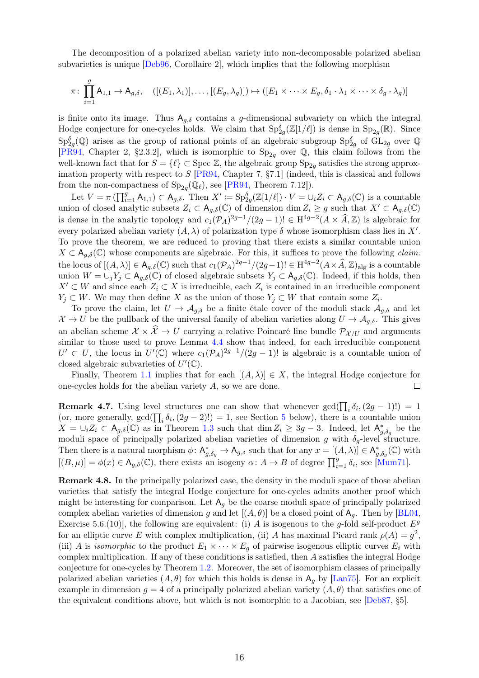The decomposition of a polarized abelian variety into non-decomposable polarized abelian subvarieties is unique [\[Deb96,](#page-19-14) Corollaire 2], which implies that the following morphism

$$
\pi \colon \prod_{i=1}^g A_{1,1} \to A_{g,\delta}, \quad \left( [(E_1, \lambda_1)], \dots, [(E_g, \lambda_g)] \right) \mapsto \left( [E_1 \times \dots \times E_g, \delta_1 \cdot \lambda_1 \times \dots \times \delta_g \cdot \lambda_g) \right]
$$

is finite onto its image. Thus  $A_{q,\delta}$  contains a g-dimensional subvariety on which the integral Hodge conjecture for one-cycles holds. We claim that  $Sp_{2g}^{\delta}(\mathbb{Z}[1/\ell])$  is dense in  $Sp_{2g}(\mathbb{R})$ . Since  $\text{Sp}_{2g}^{\delta}(\mathbb{Q})$  arises as the group of rational points of an algebraic subgroup  $\text{Sp}_{2g}^{\delta}$  of  $\text{GL}_{2g}$  over  $\mathbb{Q}$ [\[PR94,](#page-20-14) Chapter 2, §2.3.2], which is isomorphic to  $Sp_{2g}$  over Q, this claim follows from the well-known fact that for  $S = \{\ell\} \subset \text{Spec } \mathbb{Z}$ , the algebraic group  $\text{Sp}_{2g}$  satisfies the strong approximation property with respect to  $S$  [\[PR94,](#page-20-14) Chapter 7, §7.1] (indeed, this is classical and follows from the non-compactness of  $Sp_{2g}(\mathbb{Q}_\ell)$ , see [\[PR94,](#page-20-14) Theorem 7.12]).

Let  $V = \pi \left( \prod_{i=1}^g A_{1,1} \right) \subset A_{g,\delta}$ . Then  $X' \coloneqq \text{Sp}_{2g}^{\delta}(\mathbb{Z}[1/\ell]) \cdot V = \cup_i Z_i \subset A_{g,\delta}(\mathbb{C})$  is a countable union of closed analytic subsets  $Z_i \subset A_{q,\delta}(\mathbb{C})$  of dimension dim  $Z_i \geq g$  such that  $X' \subset A_{q,\delta}(\mathbb{C})$ is dense in the analytic topology and  $c_1(\mathcal{P}_A)^{2g-1}/(2g-1)! \in H^{4g-2}(A \times \widehat{A}, \mathbb{Z})$  is algebraic for every polarized abelian variety  $(A, \lambda)$  of polarization type  $\delta$  whose isomorphism class lies in X'. To prove the theorem, we are reduced to proving that there exists a similar countable union  $X \subset A_{q,\delta}(\mathbb{C})$  whose components are algebraic. For this, it suffices to prove the following *claim:* the locus of  $[(A, \lambda)] \in A_{g,\delta}(\mathbb{C})$  such that  $c_1(\mathcal{P}_A)^{2g-1}/(2g-1)! \in H^{4g-2}(A \times \widehat{A}, \mathbb{Z})_{\text{alg}}$  is a countable union  $W = \bigcup_j Y_j \subset A_{g,\delta}(\mathbb{C})$  of closed algebraic subsets  $Y_j \subset A_{g,\delta}(\mathbb{C})$ . Indeed, if this holds, then  $X' \subset W$  and since each  $Z_i \subset X$  is irreducible, each  $Z_i$  is contained in an irreducible component  $Y_j \subset W$ . We may then define X as the union of those  $Y_j \subset W$  that contain some  $Z_i$ .

To prove the claim, let  $U \to \mathcal{A}_{g,\delta}$  be a finite étale cover of the moduli stack  $\mathcal{A}_{g,\delta}$  and let  $\mathcal{X} \to U$  be the pullback of the universal family of abelian varieties along  $U \to \mathcal{A}_{g,\delta}$ . This gives an abelian scheme  $X \times \hat{X} \to U$  carrying a relative Poincaré line bundle  $\mathcal{P}_{X/U}$  and arguments similar to those used to prove Lemma [4.4](#page-11-3) show that indeed, for each irreducible component  $U' \subset U$ , the locus in  $U'(\mathbb{C})$  where  $c_1(\mathcal{P}_A)^{2g-1}/(2g-1)!$  is algebraic is a countable union of closed algebraic subvarieties of  $U'(\mathbb{C})$ .

Finally, Theorem [1.1](#page-1-4) implies that for each  $[(A, \lambda)] \in X$ , the integral Hodge conjecture for one-cycles holds for the abelian variety A, so we are done.  $\Box$ 

<span id="page-15-0"></span>**Remark 4.7.** Using level structures one can show that whenever  $gcd(\prod_i \delta_i, (2g - 1)!) = 1$ (or, more generally,  $gcd(\prod_i \delta_i, (2g-2)!)=1$ , see Section [5](#page-16-0) below), there is a countable union  $X = \bigcup_i Z_i \subset A_{g,\delta}(\mathbb{C})$  as in Theorem [1.3](#page-1-5) such that  $\dim Z_i \geq 3g-3$ . Indeed, let  $A_{g,\delta_g}^*$  be the moduli space of principally polarized abelian varieties of dimension g with  $\delta_g$ -level structure. Then there is a natural morphism  $\phi: \mathsf{A}_{g,\delta_g}^* \to \mathsf{A}_{g,\delta}$  such that for any  $x = [(A,\lambda)] \in \mathsf{A}_{g,\delta_g}^*(\mathbb{C})$  with  $[(B,\mu)] = \phi(x) \in \mathsf{A}_{g,\delta}(\mathbb{C})$ , there exists an isogeny  $\alpha \colon A \to B$  of degree  $\prod_{i=1}^{g} \delta_i$ , see [\[Mum71\]](#page-20-15).

Remark 4.8. In the principally polarized case, the density in the moduli space of those abelian varieties that satisfy the integral Hodge conjecture for one-cycles admits another proof which might be interesting for comparison. Let  $A_q$  be the coarse moduli space of principally polarized complex abelian varieties of dimension g and let  $[(A, \theta)]$  be a closed point of  $A_q$ . Then by [\[BL04,](#page-19-11) Exercise 5.6.(10)], the following are equivalent: (i) A is isogenous to the g-fold self-product  $E^g$ for an elliptic curve E with complex multiplication, (ii) A has maximal Picard rank  $\rho(A) = g^2$ , (iii) A is isomorphic to the product  $E_1 \times \cdots \times E_g$  of pairwise isogenous elliptic curves  $E_i$  with complex multiplication. If any of these conditions is satisfied, then A satisfies the integral Hodge conjecture for one-cycles by Theorem [1.2.](#page-1-3) Moreover, the set of isomorphism classes of principally polarized abelian varieties  $(A, \theta)$  for which this holds is dense in  $A_{q}$  by [\[Lan75\]](#page-20-16). For an explicit example in dimension  $q = 4$  of a principally polarized abelian variety  $(A, \theta)$  that satisfies one of the equivalent conditions above, but which is not isomorphic to a Jacobian, see [\[Deb87,](#page-19-15) §5].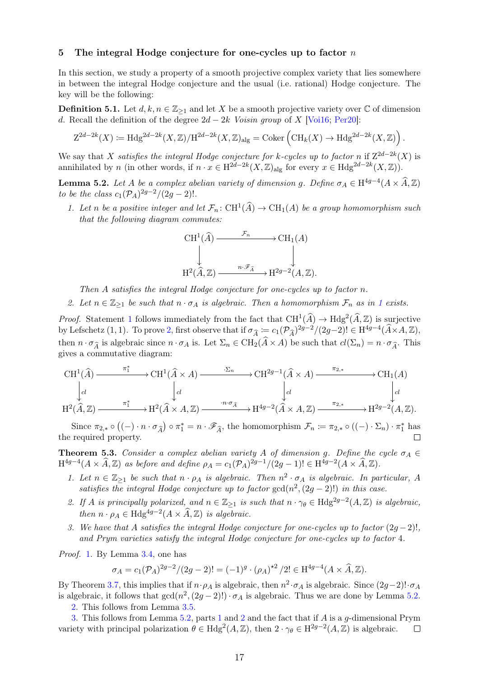## <span id="page-16-0"></span>5 The integral Hodge conjecture for one-cycles up to factor  $n$

In this section, we study a property of a smooth projective complex variety that lies somewhere in between the integral Hodge conjecture and the usual (i.e. rational) Hodge conjecture. The key will be the following:

**Definition 5.1.** Let  $d, k, n \in \mathbb{Z}_{\geq 1}$  and let X be a smooth projective variety over  $\mathbb C$  of dimension d. Recall the definition of the degree  $2d - 2k$  Voisin group of X [\[Voi16;](#page-20-9) [Per20\]](#page-20-8):

$$
Z^{2d-2k}(X) \coloneqq \text{Hdg}^{2d-2k}(X,\mathbb{Z})/\text{H}^{2d-2k}(X,\mathbb{Z})_{\text{alg}} = \text{Coker}\left(\text{CH}_k(X) \to \text{Hdg}^{2d-2k}(X,\mathbb{Z})\right).
$$

We say that X satisfies the integral Hodge conjecture for k-cycles up to factor n if  $Z^{2d-2k}(X)$  is annihilated by n (in other words, if  $n \cdot x \in H^{2d-2k}(X,\mathbb{Z})_{\text{alg}}$  for every  $x \in H^{2d-2k}(X,\mathbb{Z})$ ).

<span id="page-16-5"></span><span id="page-16-2"></span>**Lemma 5.2.** Let A be a complex abelian variety of dimension g. Define  $\sigma_A \in H^{4g-4}(A \times \widehat{A}, \mathbb{Z})$ to be the class  $c_1(\mathcal{P}_A)^{2g-2}/(2g-2)!$ .

1. Let n be a positive integer and let  $\mathcal{F}_n: \mathrm{CH}^1(\widehat{A}) \to \mathrm{CH}_1(A)$  be a group homomorphism such that the following diagram commutes:

$$
\mathrm{CH}^1(\widehat{A}) \xrightarrow{\mathcal{F}_n} \mathrm{CH}_1(A)
$$
  

$$
\downarrow \qquad \qquad \downarrow
$$
  

$$
\mathrm{H}^2(\widehat{A}, \mathbb{Z}) \xrightarrow{n \cdot \mathscr{F}_{\widehat{A}}} \mathrm{H}^{2g-2}(A, \mathbb{Z}).
$$

Then A satisfies the integral Hodge conjecture for one-cycles up to factor n.

2. Let  $n \in \mathbb{Z}_{\geq 1}$  $n \in \mathbb{Z}_{\geq 1}$  $n \in \mathbb{Z}_{\geq 1}$  be such that  $n \cdot \sigma_A$  is algebraic. Then a homomorphism  $\mathcal{F}_n$  as in 1 exists.

<span id="page-16-3"></span>*Proof.* Statement [1](#page-16-2) follows immediately from the fact that  $CH^1(\widehat{A}) \to Hdg^2(\widehat{A}, \mathbb{Z})$  is surjective by Lefschetz (1, 1). To prove [2,](#page-16-3) first observe that if  $\sigma_{\widehat{A}} := c_1(\mathcal{P}_{\widehat{A}})^{2g-2}/(2g-2)! \in H^{4g-4}(\widehat{A} \times A, \mathbb{Z}),$ then  $n \cdot \sigma_{\hat{A}}$  is algebraic since  $n \cdot \sigma_A$  is. Let  $\Sigma_n \in CH_2(\hat{A} \times A)$  be such that  $cl(\Sigma_n) = n \cdot \sigma_{\hat{A}}$ . This gives a commutative diagram:

$$
\mathrm{CH}^1(\widehat{A}) \xrightarrow{\pi_1^*} \mathrm{CH}^1(\widehat{A} \times A) \xrightarrow{\cdot \Sigma_n} \mathrm{CH}^{2g-1}(\widehat{A} \times A) \xrightarrow{\pi_{2,*}} \mathrm{CH}_1(A)
$$
\n
$$
\downarrow_{cl} \qquad \qquad \downarrow_{cl} \qquad \qquad \downarrow_{cl} \qquad \qquad \downarrow_{cl}
$$
\n
$$
\mathrm{H}^2(\widehat{A}, \mathbb{Z}) \xrightarrow{\pi_1^*} \mathrm{H}^2(\widehat{A} \times A, \mathbb{Z}) \xrightarrow{\cdot n \cdot \sigma_{\widehat{A}}} \mathrm{H}^{4g-2}(\widehat{A} \times A, \mathbb{Z}) \xrightarrow{\pi_{2,*}} \mathrm{H}^{2g-2}(A, \mathbb{Z}).
$$

Since  $\pi_{2,*} \circ ((-) \cdot n \cdot \sigma_{\widehat{A}}) \circ \pi_1^* = n \cdot \mathscr{F}_{\widehat{A}},$  the homomorphism  $\mathcal{F}_n := \pi_{2,*} \circ ((-) \cdot \Sigma_n) \cdot \pi_1^*$  has the required property.  $\Box$ 

<span id="page-16-1"></span>**Theorem 5.3.** Consider a complex abelian variety A of dimension g. Define the cycle  $\sigma_A \in$  $H^{4g-4}(A \times \widehat{A}, \mathbb{Z})$  as before and define  $\rho_A = c_1(\mathcal{P}_A)^{2g-1}/(2g-1)! \in H^{4g-2}(A \times \widehat{A}, \mathbb{Z}).$ 

- <span id="page-16-4"></span>1. Let  $n \in \mathbb{Z}_{\geq 1}$  be such that  $n \cdot \rho_A$  is algebraic. Then  $n^2 \cdot \sigma_A$  is algebraic. In particular, A satisfies the integral Hodge conjecture up to factor  $gcd(n^2, (2g-2)!)$  in this case.
- <span id="page-16-6"></span>2. If A is principally polarized, and  $n \in \mathbb{Z}_{\geq 1}$  is such that  $n \cdot \gamma_{\theta} \in \text{Hdg}^{2g-2}(A, \mathbb{Z})$  is algebraic, then  $n \cdot \rho_A \in \text{Hdg}^{4g-2}(A \times \widehat{A}, \mathbb{Z})$  is algebraic.
- <span id="page-16-7"></span>3. We have that A satisfies the integral Hodge conjecture for one-cycles up to factor  $(2g-2)!$ , and Prym varieties satisfy the integral Hodge conjecture for one-cycles up to factor 4.

Proof. [1.](#page-16-4) By Lemma [3.4,](#page-5-3) one has

$$
\sigma_A = c_1(\mathcal{P}_A)^{2g-2}/(2g-2)! = (-1)^g \cdot (\rho_A)^{*2}/2! \in \mathcal{H}^{4g-4}(A \times \widehat{A}, \mathbb{Z}).
$$

By Theorem [3.7,](#page-7-2) this implies that if  $n \cdot \rho_A$  is algebraic, then  $n^2 \cdot \sigma_A$  is algebraic. Since  $(2g-2)!\cdot \sigma_A$ is algebraic, it follows that  $gcd(n^2, (2g-2)!) \cdot \sigma_A$  is algebraic. Thus we are done by Lemma [5.2.](#page-16-5)

[2.](#page-16-6) This follows from Lemma [3.5.](#page-7-3)

[3.](#page-16-7) This follows from Lemma [5.2,](#page-16-5) parts [1](#page-16-4) and [2](#page-16-6) and the fact that if  $A$  is a  $q$ -dimensional Prym variety with principal polarization  $\theta \in Hdg^2(A, \mathbb{Z})$ , then  $2 \cdot \gamma_{\theta} \in H^{2g-2}(A, \mathbb{Z})$  is algebraic.  $\Box$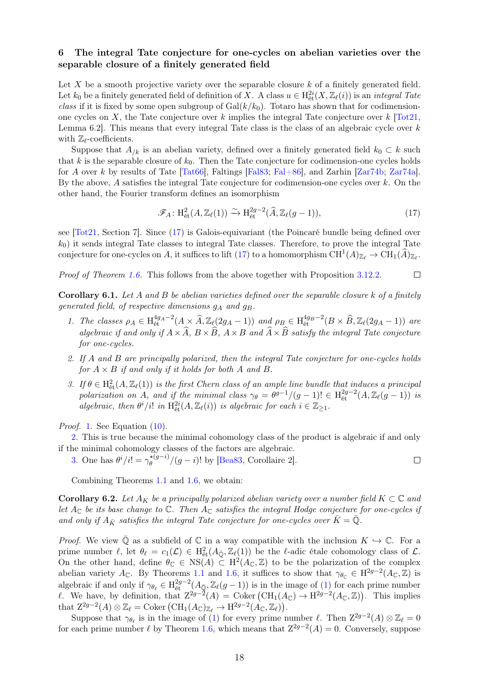## 6 The integral Tate conjecture for one-cycles on abelian varieties over the separable closure of a finitely generated field

Let X be a smooth projective variety over the separable closure  $k$  of a finitely generated field. Let  $k_0$  be a finitely generated field of definition of X. A class  $u \in H^{2i}_{\text{\'{e}t}}(X, \mathbb{Z}_\ell(i))$  is an *integral Tate* class if it is fixed by some open subgroup of  $Gal(k/k_0)$ . Totaro has shown that for codimensionone cycles on X, the Tate conjecture over k implies the integral Tate conjecture over  $k$  [\[Tot21,](#page-20-3) Lemma 6.2. This means that every integral Tate class is the class of an algebraic cycle over  $k$ with  $\mathbb{Z}_{\ell}$ -coefficients.

Suppose that  $A_{k}$  is an abelian variety, defined over a finitely generated field  $k_0 \subset k$  such that k is the separable closure of  $k_0$ . Then the Tate conjecture for codimension-one cycles holds for A over k by results of Tate  $[Tat66]$ , Faltings  $[Fal83]$ ; Fal $+86$ , and Zarhin [\[Zar74b;](#page-20-18) [Zar74a\]](#page-20-19). By the above, A satisfies the integral Tate conjecture for codimension-one cycles over  $k$ . On the other hand, the Fourier transform defines an isomorphism

<span id="page-17-1"></span>
$$
\mathcal{F}_A \colon \mathrm{H}^2_{\mathrm{\acute{e}t}}(A, \mathbb{Z}_\ell(1)) \xrightarrow{\sim} \mathrm{H}^{2g-2}_{\mathrm{\acute{e}t}}(\widehat{A}, \mathbb{Z}_\ell(g-1)),\tag{17}
$$

see [\[Tot21,](#page-20-3) Section 7]. Since [\(17\)](#page-17-1) is Galois-equivariant (the Poincaré bundle being defined over  $k_0$ ) it sends integral Tate classes to integral Tate classes. Therefore, to prove the integral Tate conjecture for one-cycles on A, it suffices to lift [\(17\)](#page-17-1) to a homomorphism  $\mathrm{CH}^1(A)_{\mathbb{Z}_{\ell}} \to \mathrm{CH}_1(\widehat{A})_{\mathbb{Z}_{\ell}}$ .

Proof of Theorem [1.6.](#page-2-1) This follows from the above together with Proposition [3.12](#page-0-0)[.2.](#page-9-10)  $\Box$ 

<span id="page-17-2"></span>**Corollary 6.1.** Let A and B be abelian varieties defined over the separable closure k of a finitely generated field, of respective dimensions  $g_A$  and  $g_B$ .

- 1. The classes  $\rho_A \in H_{\text{\'et}}^{4g_A-2}(A \times \widehat{A}, \mathbb{Z}_\ell(2g_A-1))$  and  $\rho_B \in H_{\text{\'et}}^{4g_B-2}(B \times \widehat{B}, \mathbb{Z}_\ell(2g_A-1))$  are algebraic if and only if  $A \times \widehat{A}$ ,  $B \times \widehat{B}$ ,  $A \times B$  and  $\widehat{A} \times \widehat{B}$  satisfy the integral Tate conjecture for one-cycles.
- <span id="page-17-3"></span>2. If A and B are principally polarized, then the integral Tate conjecture for one-cycles holds for  $A \times B$  if and only if it holds for both A and B.
- <span id="page-17-4"></span>3. If  $\theta \in H^2_{\text{\'et}}(A, \mathbb{Z}_\ell(1))$  is the first Chern class of an ample line bundle that induces a principal polarization on A, and if the minimal class  $\gamma_{\theta} = \theta^{g-1}/(g-1)! \in H_{\text{\'et}}^{2g-2}(A, \mathbb{Z}_\ell(g-1))$  is algebraic, then  $\theta^i/i!$  in  $\mathrm{H}^{2i}_{\text{\'et}}(A, \mathbb{Z}_\ell(i))$  is algebraic for each  $i \in \mathbb{Z}_{\geq 1}$ .

Proof. [1.](#page-17-2) See Equation [\(10\)](#page-8-10).

[2.](#page-17-3) This is true because the minimal cohomology class of the product is algebraic if and only if the minimal cohomology classes of the factors are algebraic.

[3.](#page-17-4) One has  $\theta^i/i! = \gamma_A^{*(g-i)}$  $\int_{\theta}^{*(g-i)}$ / $(g-i)!$  by [\[Bea83,](#page-19-0) Corollaire 2].  $\Box$ 

Combining Theorems [1.1](#page-1-4) and [1.6,](#page-2-1) we obtain:

<span id="page-17-0"></span>**Corollary 6.2.** Let  $A_K$  be a principally polarized abelian variety over a number field  $K \subset \mathbb{C}$  and let  $A_{\mathbb{C}}$  be its base change to  $\mathbb{C}$ . Then  $A_{\mathbb{C}}$  satisfies the integral Hodge conjecture for one-cycles if and only if  $A_{\bar{K}}$  satisfies the integral Tate conjecture for one-cycles over  $K = \mathbb{Q}$ .

*Proof.* We view  $\overline{Q}$  as a subfield of  $\mathbb C$  in a way compatible with the inclusion  $K \hookrightarrow \mathbb C$ . For a prime number  $\ell$ , let  $\theta_{\ell} = c_1(\mathcal{L}) \in H^2_{\text{\'et}}(A_{\bar{\mathbb{Q}}}, \mathbb{Z}_{\ell}(1))$  be the  $\ell$ -adic étale cohomology class of  $\mathcal{L}$ . On the other hand, define  $\theta_{\mathbb{C}} \in \text{NS}(A) \subset H^2(A_{\mathbb{C}}, \mathbb{Z})$  to be the polarization of the complex abelian variety  $A_{\mathbb{C}}$ . By Theorems [1.1](#page-1-4) and [1.6,](#page-2-1) it suffices to show that  $\gamma_{\theta_{\mathbb{C}}} \in H^{2g-2}(A_{\mathbb{C}},\mathbb{Z})$  is algebraic if and only if  $\gamma_{\theta_\ell} \in H^{2g-2}_{\text{\'et}}(A_{\bar{\mathbb{Q}}}, \mathbb{Z}_\ell(g-1))$  is in the image of [\(1\)](#page-2-0) for each prime number l. We have, by definition, that  $Z^{2g-\tilde{2}}(A) = \text{Coker}(\text{CH}_1(A_{\mathbb{C}}) \to \text{H}^{2g-2}(A_{\mathbb{C}}, \mathbb{Z}))$ . This implies that  $Z^{2g-2}(A) \otimes \mathbb{Z}_{\ell} = \text{Coker}(\text{CH}_1(A_{\mathbb{C}})_{\mathbb{Z}_{\ell}} \to \text{H}^{2g-2}(A_{\mathbb{C}}, \mathbb{Z}_{\ell}).$ 

Suppose that  $\gamma_{\theta_\ell}$  is in the image of [\(1\)](#page-2-0) for every prime number  $\ell$ . Then  $Z^{2g-2}(A) \otimes \mathbb{Z}_\ell = 0$ for each prime number  $\ell$  by Theorem [1.6,](#page-2-1) which means that  $Z^{2g-2}(A) = 0$ . Conversely, suppose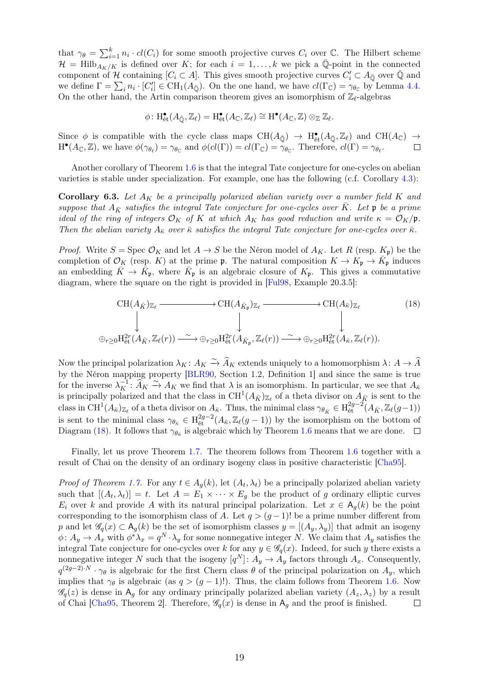that  $\gamma_{\theta} = \sum_{i=1}^{k} n_i \cdot cl(C_i)$  for some smooth projective curves  $C_i$  over  $\mathbb{C}$ . The Hilbert scheme  $\mathcal{H} = Hilb_{A_K/K}$  is defined over K; for each  $i = 1, \ldots, k$  we pick a  $\overline{\mathbb{Q}}$ -point in the connected component of H containing  $[C_i \subset A]$ . This gives smooth projective curves  $C'_i \subset A_{\bar{\mathbb{Q}}}$  over  $\bar{\mathbb{Q}}$  and we define  $\Gamma = \sum_i n_i \cdot [C'_i] \in \text{CH}_1(A_{\bar{\mathbb{Q}}})$ . On the one hand, we have  $cl(\Gamma_{\mathbb{C}}) = \gamma_{\theta_{\mathbb{C}}}$  by Lemma [4.4.](#page-11-3) On the other hand, the Artin comparison theorem gives an isomorphism of  $\mathbb{Z}_{\ell}$ -algebras

$$
\phi \colon \mathrm{H}_{\text{\'et}}^{\bullet}(A_{\bar{\mathbb{Q}}}, \mathbb{Z}_{\ell}) = \mathrm{H}_{\text{\'et}}^{\bullet}(A_{\mathbb{C}}, \mathbb{Z}_{\ell}) \cong \mathrm{H}^{\bullet}(A_{\mathbb{C}}, \mathbb{Z}) \otimes_{\mathbb{Z}} \mathbb{Z}_{\ell}.
$$

Since  $\phi$  is compatible with the cycle class maps  $CH(A_{\overline{Q}}) \to H^{\bullet}_{\text{\'et}}(A_{\overline{Q}}, \mathbb{Z}_\ell)$  and  $CH(A_{\mathbb{C}}) \to$  $H^{\bullet}(A_{\mathbb{C}}, \mathbb{Z})$ , we have  $\phi(\gamma_{\theta_{\ell}}) = \gamma_{\theta_{\mathbb{C}}}$  and  $\phi(cl(\Gamma)) = cl(\Gamma_{\mathbb{C}}) = \gamma_{\theta_{\mathbb{C}}}$ . Therefore,  $cl(\Gamma) = \gamma_{\theta_{\ell}}$ .  $\Box$ 

Another corollary of Theorem [1.6](#page-2-1) is that the integral Tate conjecture for one-cycles on abelian varieties is stable under specialization. For example, one has the following (c.f. Corollary [4.3\)](#page-11-1):

<span id="page-18-0"></span>Corollary 6.3. Let  $A_K$  be a principally polarized abelian variety over a number field K and suppose that  $A_{\bar{K}}$  satisfies the integral Tate conjecture for one-cycles over  $\bar{K}$ . Let  $\mathfrak p$  be a prime ideal of the ring of integers  $\mathcal{O}_K$  of K at which  $A_K$  has good reduction and write  $\kappa = \mathcal{O}_K/\mathfrak{p}$ . Then the abelian variety  $A_{\bar{\kappa}}$  over  $\bar{\kappa}$  satisfies the integral Tate conjecture for one-cycles over  $\bar{\kappa}$ .

*Proof.* Write  $S = \text{Spec } \mathcal{O}_K$  and let  $A \to S$  be the Néron model of  $A_K$ . Let R (resp.  $K_p$ ) be the completion of  $\mathcal{O}_K$  (resp. K) at the prime **p**. The natural composition  $K \to K_{\mathfrak{p}} \to \bar{K}_{\mathfrak{p}}$  induces an embedding  $\bar{K} \to \bar{K}_{\mathfrak{p}}$ , where  $\bar{K}_{\mathfrak{p}}$  is an algebraic closure of  $K_{\mathfrak{p}}$ . This gives a commutative diagram, where the square on the right is provided in [\[Ful98,](#page-19-10) Example 20.3.5]:

<span id="page-18-1"></span>
$$
\mathrm{CH}(A_{\bar{K}})_{\mathbb{Z}_{\ell}} \longrightarrow \mathrm{CH}(A_{\bar{K}_{\mathfrak{p}}})_{\mathbb{Z}_{\ell}} \longrightarrow \mathrm{CH}(A_{\bar{K}})_{\mathbb{Z}_{\ell}} \qquad (18)
$$
\n
$$
\downarrow \qquad \qquad \downarrow \qquad \qquad \downarrow
$$
\n
$$
\oplus_{r\geq 0} \mathrm{H}_{\mathrm{\acute{e}t}}^{2r}(A_{\bar{K}}, \mathbb{Z}_{\ell}(r)) \xrightarrow{\sim} \oplus_{r\geq 0} \mathrm{H}_{\mathrm{\acute{e}t}}^{2r}(A_{\bar{K}_{\mathfrak{p}}}, \mathbb{Z}_{\ell}(r)) \xrightarrow{\sim} \oplus_{r\geq 0} \mathrm{H}_{\mathrm{\acute{e}t}}^{2r}(A_{\bar{\kappa}}, \mathbb{Z}_{\ell}(r)).
$$

Now the principal polarization  $\lambda_K : A_K \xrightarrow{\sim} \widehat{A}_K$  extends uniquely to a homomorphism  $\lambda : A \to \widehat{A}$ by the Néron mapping property [\[BLR90,](#page-19-18) Section 1.2, Definition 1] and since the same is true for the inverse  $\lambda_K^{-1}$ :  $\widetilde{A}_K \xrightarrow{\sim} A_K$  we find that  $\lambda$  is an isomorphism. In particular, we see that  $A_K$ is principally polarized and that the class in  $\mathrm{CH}^1(A_{\bar{K}})_{\mathbb{Z}_{\ell}}$  of a theta divisor on  $A_{\bar{K}}$  is sent to the class in  $\text{CH}^1(A_{\bar\kappa})_{\mathbb{Z}_{\ell}}$  of a theta divisor on  $A_{\bar\kappa}$ . Thus, the minimal class  $\gamma_{\theta_{\bar K}} \in \text{H}_{\text{\'et}}^{2g-2}(A_{\bar K}, \mathbb{Z}_{\ell}(g-1))$ is sent to the minimal class  $\gamma_{\theta_{\bar{\kappa}}} \in H^{2g-2}_{\text{\textup{\'et}}}(A_{\bar{\kappa}}, \mathbb{Z}_{\ell}(g-1))$  by the isomorphism on the bottom of Diagram [\(18\)](#page-18-1). It follows that  $\gamma_{\theta_{\bar{\kappa}}}$  is algebraic which by Theorem [1.6](#page-2-1) means that we are done.

Finally, let us prove Theorem [1.7.](#page-2-2) The theorem follows from Theorem [1.6](#page-2-1) together with a result of Chai on the density of an ordinary isogeny class in positive characteristic [\[Cha95\]](#page-19-12).

*Proof of Theorem [1.7.](#page-2-2)* For any  $t \in A_g(k)$ , let  $(A_t, \lambda_t)$  be a principally polarized abelian variety such that  $[(A_t, \lambda_t)] = t$ . Let  $A = E_1 \times \cdots \times E_g$  be the product of g ordinary elliptic curves  $E_i$  over k and provide A with its natural principal polarization. Let  $x \in A_q(k)$  be the point corresponding to the isomorphism class of A. Let  $q > (g-1)!$  be a prime number different from p and let  $\mathscr{G}_q(x) \subset A_q(k)$  be the set of isomorphism classes  $y = [(A_y, \lambda_y)]$  that admit an isogeny  $\phi\colon A_y\to A_x$  with  $\phi^*\lambda_x=q^N\cdot\lambda_y$  for some nonnegative integer N. We claim that  $A_y$  satisfies the integral Tate conjecture for one-cycles over k for any  $y \in \mathscr{G}_q(x)$ . Indeed, for such y there exists a nonnegative integer N such that the isogeny  $[q^N]$ :  $A_y \to A_y$  factors through  $A_x$ . Consequently,  $q^{(2g-2)\cdot N} \cdot \gamma_{\theta}$  is algebraic for the first Chern class  $\theta$  of the principal polarization on  $A_y$ , which implies that  $\gamma_{\theta}$  is algebraic (as  $q > (g - 1)!$ ). Thus, the claim follows from Theorem [1.6.](#page-2-1) Now  $\mathscr{G}_q(z)$  is dense in  $A_g$  for any ordinary principally polarized abelian variety  $(A_z, \lambda_z)$  by a result of Chai [\[Cha95,](#page-19-12) Theorem 2]. Therefore,  $\mathscr{G}_q(x)$  is dense in  $A_q$  and the proof is finished.  $\Box$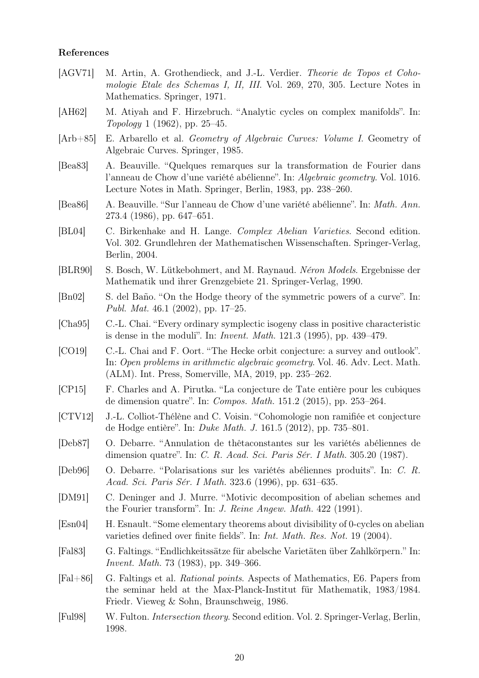## References

<span id="page-19-18"></span><span id="page-19-17"></span><span id="page-19-16"></span><span id="page-19-15"></span><span id="page-19-14"></span><span id="page-19-13"></span><span id="page-19-12"></span><span id="page-19-11"></span><span id="page-19-10"></span><span id="page-19-9"></span><span id="page-19-8"></span><span id="page-19-7"></span><span id="page-19-6"></span><span id="page-19-5"></span><span id="page-19-4"></span><span id="page-19-3"></span><span id="page-19-2"></span><span id="page-19-1"></span><span id="page-19-0"></span>[AGV71] M. Artin, A. Grothendieck, and J.-L. Verdier. *Theorie de Topos et Coho*mologie Etale des Schemas I, II, III. Vol. 269, 270, 305. Lecture Notes in Mathematics. Springer, 1971. [AH62] M. Atiyah and F. Hirzebruch. "Analytic cycles on complex manifolds". In: Topology 1 (1962), pp. 25–45. [Arb+85] E. Arbarello et al. Geometry of Algebraic Curves: Volume I. Geometry of Algebraic Curves. Springer, 1985. [Bea83] A. Beauville. "Quelques remarques sur la transformation de Fourier dans l'anneau de Chow d'une variété abélienne". In: Algebraic geometry. Vol. 1016. Lecture Notes in Math. Springer, Berlin, 1983, pp. 238–260. [Bea86] A. Beauville. "Sur l'anneau de Chow d'une variété abélienne". In: Math. Ann. 273.4 (1986), pp. 647–651. [BL04] C. Birkenhake and H. Lange. Complex Abelian Varieties. Second edition. Vol. 302. Grundlehren der Mathematischen Wissenschaften. Springer-Verlag, Berlin, 2004. [BLR90] S. Bosch, W. Lütkebohmert, and M. Raynaud. Néron Models. Ergebnisse der Mathematik und ihrer Grenzgebiete 21. Springer-Verlag, 1990. [Bn02] S. del Baño. "On the Hodge theory of the symmetric powers of a curve". In: Publ. Mat. 46.1 (2002), pp. 17–25. [Cha95] C.-L. Chai. "Every ordinary symplectic isogeny class in positive characteristic is dense in the moduli". In: Invent. Math. 121.3 (1995), pp. 439–479. [CO19] C.-L. Chai and F. Oort. "The Hecke orbit conjecture: a survey and outlook". In: Open problems in arithmetic algebraic geometry. Vol. 46. Adv. Lect. Math. (ALM). Int. Press, Somerville, MA, 2019, pp. 235–262. [CP15] F. Charles and A. Pirutka. "La conjecture de Tate entière pour les cubiques de dimension quatre". In: Compos. Math. 151.2 (2015), pp. 253–264. [CTV12] J.-L. Colliot-Thélène and C. Voisin. "Cohomologie non ramifiée et conjecture de Hodge entière". In: Duke Math. J. 161.5 (2012), pp. 735–801. [Deb87] O. Debarre. "Annulation de thêtaconstantes sur les variétés abéliennes de dimension quatre". In: C. R. Acad. Sci. Paris Sér. I Math. 305.20 (1987). [Deb96] O. Debarre. "Polarisations sur les variétés abéliennes produits". In: C. R. Acad. Sci. Paris Sér. I Math. 323.6 (1996), pp. 631–635. [DM91] C. Deninger and J. Murre. "Motivic decomposition of abelian schemes and the Fourier transform". In: J. Reine Angew. Math. 422 (1991). [Esn04] H. Esnault. "Some elementary theorems about divisibility of 0-cycles on abelian varieties defined over finite fields". In: Int. Math. Res. Not. 19 (2004). [Fal83] G. Faltings. "Endlichkeitssätze für abelsche Varietäten über Zahlkörpern." In: Invent. Math. 73 (1983), pp. 349–366. [Fal+86] G. Faltings et al. Rational points. Aspects of Mathematics, E6. Papers from the seminar held at the Max-Planck-Institut für Mathematik, 1983/1984. Friedr. Vieweg & Sohn, Braunschweig, 1986. [Ful98] W. Fulton. Intersection theory. Second edition. Vol. 2. Springer-Verlag, Berlin, 1998.